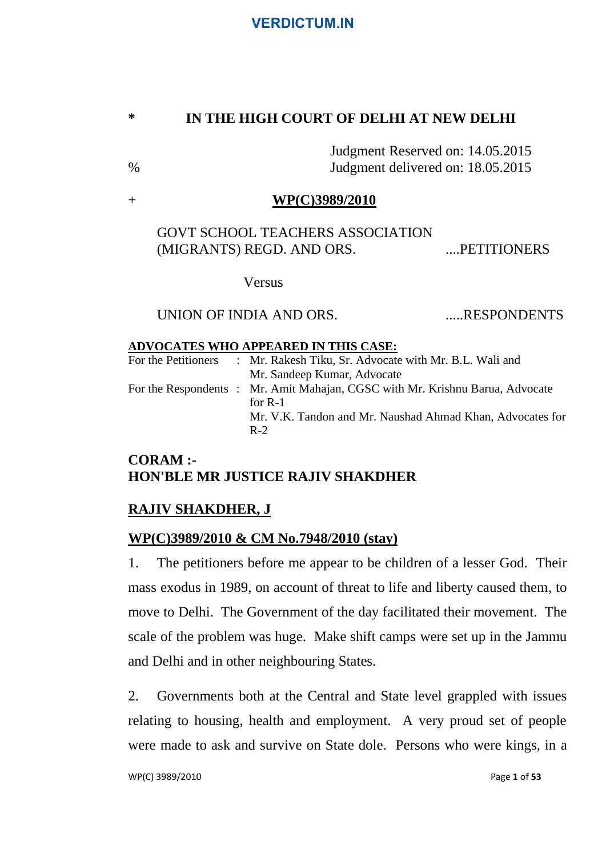### **\* IN THE HIGH COURT OF DELHI AT NEW DELHI**

Judgment Reserved on: 14.05.2015 % Judgment delivered on: 18.05.2015

### + **WP(C)3989/2010**

GOVT SCHOOL TEACHERS ASSOCIATION (MIGRANTS) REGD. AND ORS. ......PETITIONERS

Versus

## UNION OF INDIA AND ORS. .....RESPONDENTS

#### **ADVOCATES WHO APPEARED IN THIS CASE:**

| For the Petitioners | : Mr. Rakesh Tiku, Sr. Advocate with Mr. B.L. Wali and                                     |
|---------------------|--------------------------------------------------------------------------------------------|
|                     | Mr. Sandeep Kumar, Advocate                                                                |
|                     | For the Respondents : Mr. Amit Mahajan, CGSC with Mr. Krishnu Barua, Advocate<br>for $R-1$ |
|                     | Mr. V.K. Tandon and Mr. Naushad Ahmad Khan, Advocates for<br>$R-2$                         |

## **CORAM :- HON'BLE MR JUSTICE RAJIV SHAKDHER**

# **RAJIV SHAKDHER, J**

## **WP(C)3989/2010 & CM No.7948/2010 (stay)**

1. The petitioners before me appear to be children of a lesser God. Their mass exodus in 1989, on account of threat to life and liberty caused them, to move to Delhi. The Government of the day facilitated their movement. The scale of the problem was huge. Make shift camps were set up in the Jammu and Delhi and in other neighbouring States.

2. Governments both at the Central and State level grappled with issues relating to housing, health and employment. A very proud set of people were made to ask and survive on State dole. Persons who were kings, in a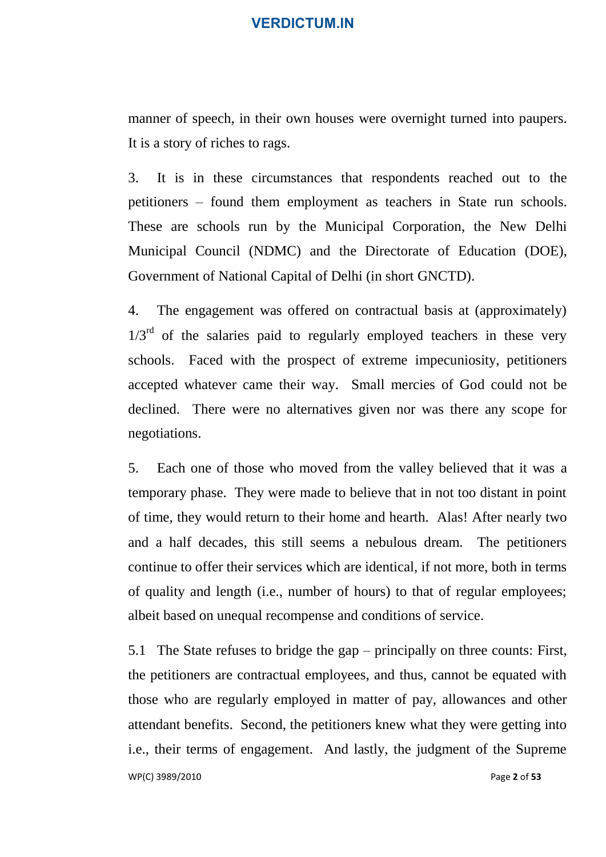manner of speech, in their own houses were overnight turned into paupers. It is a story of riches to rags.

3. It is in these circumstances that respondents reached out to the petitioners – found them employment as teachers in State run schools. These are schools run by the Municipal Corporation, the New Delhi Municipal Council (NDMC) and the Directorate of Education (DOE), Government of National Capital of Delhi (in short GNCTD).

4. The engagement was offered on contractual basis at (approximately)  $1/3<sup>rd</sup>$  of the salaries paid to regularly employed teachers in these very schools. Faced with the prospect of extreme impecuniosity, petitioners accepted whatever came their way. Small mercies of God could not be declined. There were no alternatives given nor was there any scope for negotiations.

5. Each one of those who moved from the valley believed that it was a temporary phase. They were made to believe that in not too distant in point of time, they would return to their home and hearth. Alas! After nearly two and a half decades, this still seems a nebulous dream. The petitioners continue to offer their services which are identical, if not more, both in terms of quality and length (i.e., number of hours) to that of regular employees; albeit based on unequal recompense and conditions of service.

WP(C) 3989/2010 Page **2** of **53** 5.1 The State refuses to bridge the gap – principally on three counts: First, the petitioners are contractual employees, and thus, cannot be equated with those who are regularly employed in matter of pay, allowances and other attendant benefits. Second, the petitioners knew what they were getting into i.e., their terms of engagement. And lastly, the judgment of the Supreme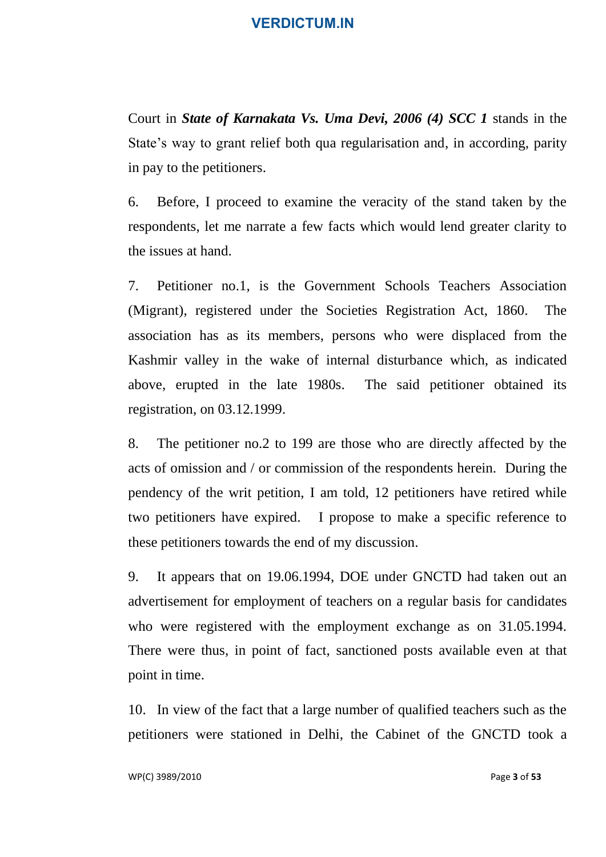Court in *State of Karnakata Vs. Uma Devi, 2006 (4) SCC 1* stands in the State's way to grant relief both qua regularisation and, in according, parity in pay to the petitioners.

6. Before, I proceed to examine the veracity of the stand taken by the respondents, let me narrate a few facts which would lend greater clarity to the issues at hand.

7. Petitioner no.1, is the Government Schools Teachers Association (Migrant), registered under the Societies Registration Act, 1860. The association has as its members, persons who were displaced from the Kashmir valley in the wake of internal disturbance which, as indicated above, erupted in the late 1980s. The said petitioner obtained its registration, on 03.12.1999.

8. The petitioner no.2 to 199 are those who are directly affected by the acts of omission and / or commission of the respondents herein. During the pendency of the writ petition, I am told, 12 petitioners have retired while two petitioners have expired. I propose to make a specific reference to these petitioners towards the end of my discussion.

9. It appears that on 19.06.1994, DOE under GNCTD had taken out an advertisement for employment of teachers on a regular basis for candidates who were registered with the employment exchange as on 31.05.1994. There were thus, in point of fact, sanctioned posts available even at that point in time.

10. In view of the fact that a large number of qualified teachers such as the petitioners were stationed in Delhi, the Cabinet of the GNCTD took a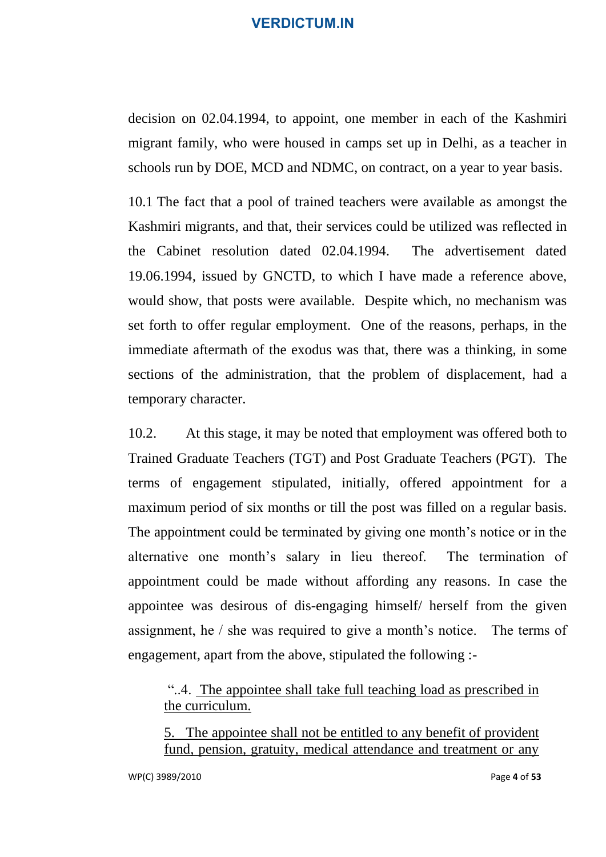decision on 02.04.1994, to appoint, one member in each of the Kashmiri migrant family, who were housed in camps set up in Delhi, as a teacher in schools run by DOE, MCD and NDMC, on contract, on a year to year basis.

10.1 The fact that a pool of trained teachers were available as amongst the Kashmiri migrants, and that, their services could be utilized was reflected in the Cabinet resolution dated 02.04.1994. The advertisement dated 19.06.1994, issued by GNCTD, to which I have made a reference above, would show, that posts were available. Despite which, no mechanism was set forth to offer regular employment. One of the reasons, perhaps, in the immediate aftermath of the exodus was that, there was a thinking, in some sections of the administration, that the problem of displacement, had a temporary character.

10.2. At this stage, it may be noted that employment was offered both to Trained Graduate Teachers (TGT) and Post Graduate Teachers (PGT). The terms of engagement stipulated, initially, offered appointment for a maximum period of six months or till the post was filled on a regular basis. The appointment could be terminated by giving one month's notice or in the alternative one month's salary in lieu thereof. The termination of appointment could be made without affording any reasons. In case the appointee was desirous of dis-engaging himself/ herself from the given assignment, he / she was required to give a month's notice. The terms of engagement, apart from the above, stipulated the following :-

"..4. The appointee shall take full teaching load as prescribed in the curriculum.

5. The appointee shall not be entitled to any benefit of provident fund, pension, gratuity, medical attendance and treatment or any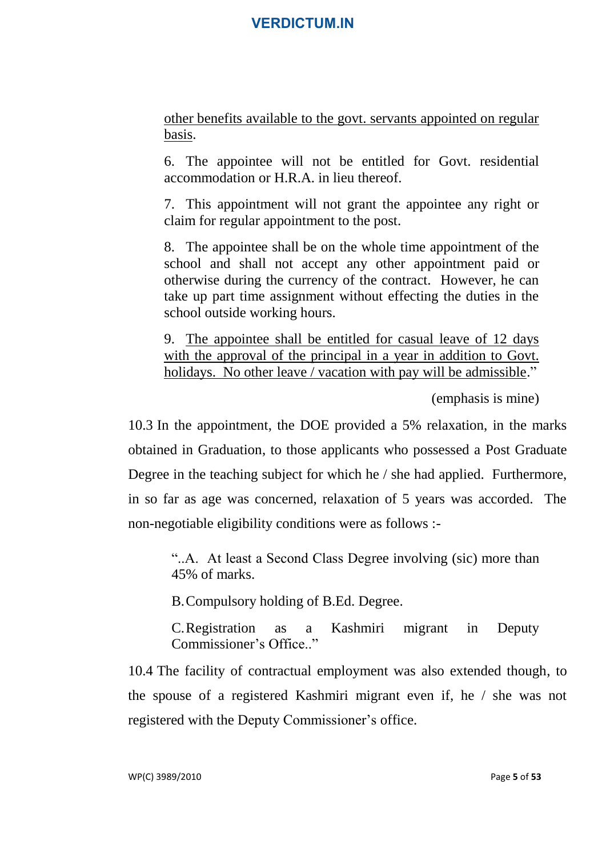other benefits available to the govt. servants appointed on regular basis.

6. The appointee will not be entitled for Govt. residential accommodation or H.R.A. in lieu thereof.

7. This appointment will not grant the appointee any right or claim for regular appointment to the post.

8. The appointee shall be on the whole time appointment of the school and shall not accept any other appointment paid or otherwise during the currency of the contract. However, he can take up part time assignment without effecting the duties in the school outside working hours.

9. The appointee shall be entitled for casual leave of 12 days with the approval of the principal in a year in addition to Govt. holidays. No other leave / vacation with pay will be admissible."

(emphasis is mine)

10.3 In the appointment, the DOE provided a 5% relaxation, in the marks obtained in Graduation, to those applicants who possessed a Post Graduate Degree in the teaching subject for which he / she had applied. Furthermore, in so far as age was concerned, relaxation of 5 years was accorded. The non-negotiable eligibility conditions were as follows :-

"..A. At least a Second Class Degree involving (sic) more than 45% of marks.

B.Compulsory holding of B.Ed. Degree.

C.Registration as a Kashmiri migrant in Deputy Commissioner's Office."

10.4 The facility of contractual employment was also extended though, to the spouse of a registered Kashmiri migrant even if, he / she was not registered with the Deputy Commissioner's office.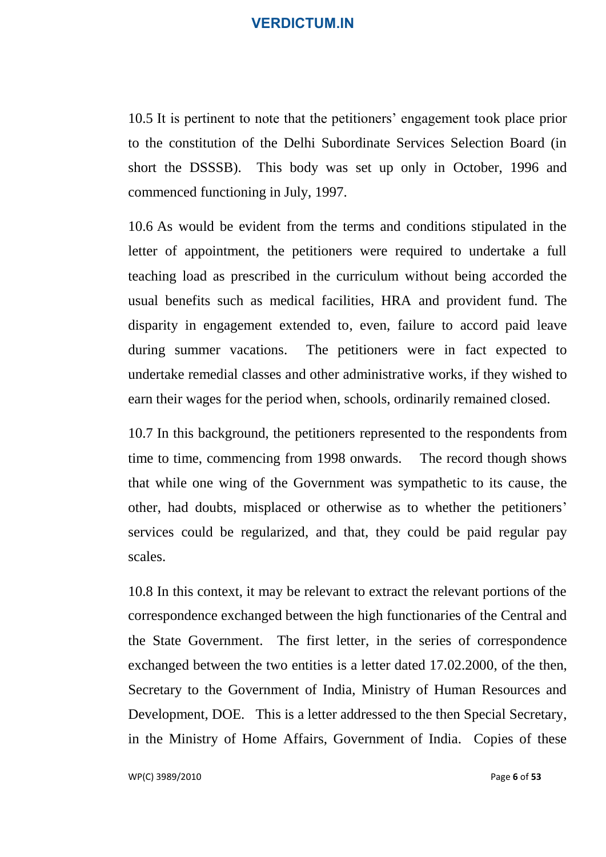10.5 It is pertinent to note that the petitioners' engagement took place prior to the constitution of the Delhi Subordinate Services Selection Board (in short the DSSSB). This body was set up only in October, 1996 and commenced functioning in July, 1997.

10.6 As would be evident from the terms and conditions stipulated in the letter of appointment, the petitioners were required to undertake a full teaching load as prescribed in the curriculum without being accorded the usual benefits such as medical facilities, HRA and provident fund. The disparity in engagement extended to, even, failure to accord paid leave during summer vacations. The petitioners were in fact expected to undertake remedial classes and other administrative works, if they wished to earn their wages for the period when, schools, ordinarily remained closed.

10.7 In this background, the petitioners represented to the respondents from time to time, commencing from 1998 onwards. The record though shows that while one wing of the Government was sympathetic to its cause, the other, had doubts, misplaced or otherwise as to whether the petitioners' services could be regularized, and that, they could be paid regular pay scales.

10.8 In this context, it may be relevant to extract the relevant portions of the correspondence exchanged between the high functionaries of the Central and the State Government. The first letter, in the series of correspondence exchanged between the two entities is a letter dated 17.02.2000, of the then, Secretary to the Government of India, Ministry of Human Resources and Development, DOE. This is a letter addressed to the then Special Secretary, in the Ministry of Home Affairs, Government of India. Copies of these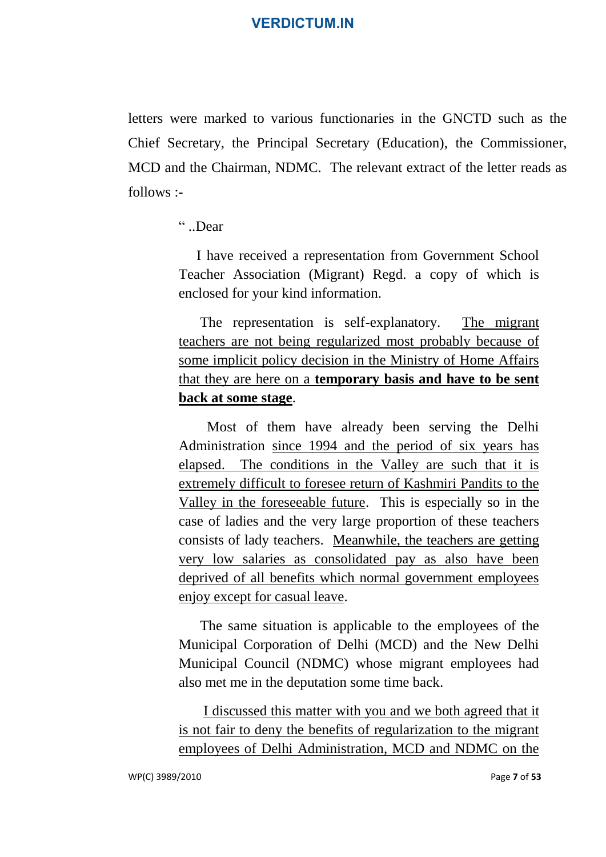letters were marked to various functionaries in the GNCTD such as the Chief Secretary, the Principal Secretary (Education), the Commissioner, MCD and the Chairman, NDMC. The relevant extract of the letter reads as follows :-

" ..Dear

 I have received a representation from Government School Teacher Association (Migrant) Regd. a copy of which is enclosed for your kind information.

 The representation is self-explanatory. The migrant teachers are not being regularized most probably because of some implicit policy decision in the Ministry of Home Affairs that they are here on a **temporary basis and have to be sent back at some stage**.

 Most of them have already been serving the Delhi Administration since 1994 and the period of six years has elapsed. The conditions in the Valley are such that it is extremely difficult to foresee return of Kashmiri Pandits to the Valley in the foreseeable future. This is especially so in the case of ladies and the very large proportion of these teachers consists of lady teachers. Meanwhile, the teachers are getting very low salaries as consolidated pay as also have been deprived of all benefits which normal government employees enjoy except for casual leave.

 The same situation is applicable to the employees of the Municipal Corporation of Delhi (MCD) and the New Delhi Municipal Council (NDMC) whose migrant employees had also met me in the deputation some time back.

 I discussed this matter with you and we both agreed that it is not fair to deny the benefits of regularization to the migrant employees of Delhi Administration, MCD and NDMC on the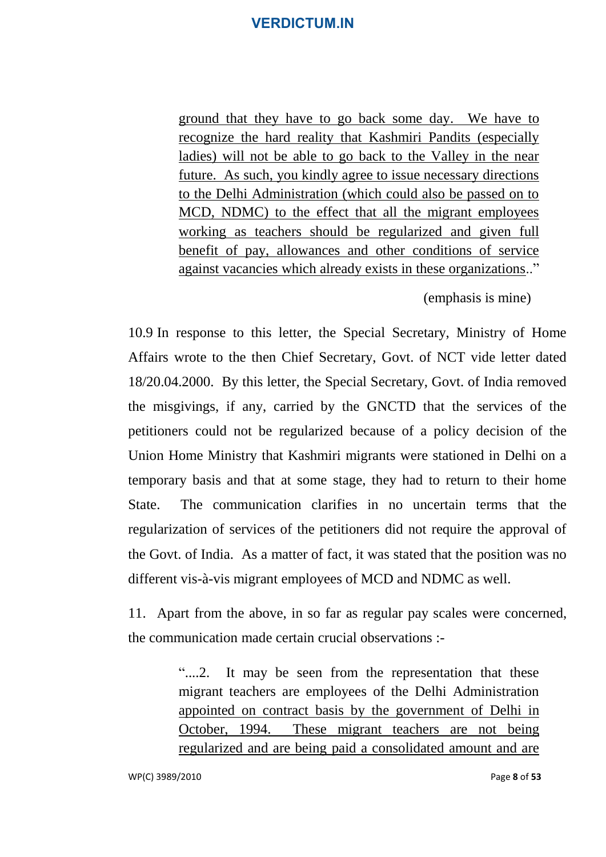ground that they have to go back some day. We have to recognize the hard reality that Kashmiri Pandits (especially ladies) will not be able to go back to the Valley in the near future. As such, you kindly agree to issue necessary directions to the Delhi Administration (which could also be passed on to MCD, NDMC) to the effect that all the migrant employees working as teachers should be regularized and given full benefit of pay, allowances and other conditions of service against vacancies which already exists in these organizations.."

(emphasis is mine)

10.9 In response to this letter, the Special Secretary, Ministry of Home Affairs wrote to the then Chief Secretary, Govt. of NCT vide letter dated 18/20.04.2000. By this letter, the Special Secretary, Govt. of India removed the misgivings, if any, carried by the GNCTD that the services of the petitioners could not be regularized because of a policy decision of the Union Home Ministry that Kashmiri migrants were stationed in Delhi on a temporary basis and that at some stage, they had to return to their home State. The communication clarifies in no uncertain terms that the regularization of services of the petitioners did not require the approval of the Govt. of India. As a matter of fact, it was stated that the position was no different vis-à-vis migrant employees of MCD and NDMC as well.

11. Apart from the above, in so far as regular pay scales were concerned, the communication made certain crucial observations :-

> "....2. It may be seen from the representation that these migrant teachers are employees of the Delhi Administration appointed on contract basis by the government of Delhi in October, 1994. These migrant teachers are not being regularized and are being paid a consolidated amount and are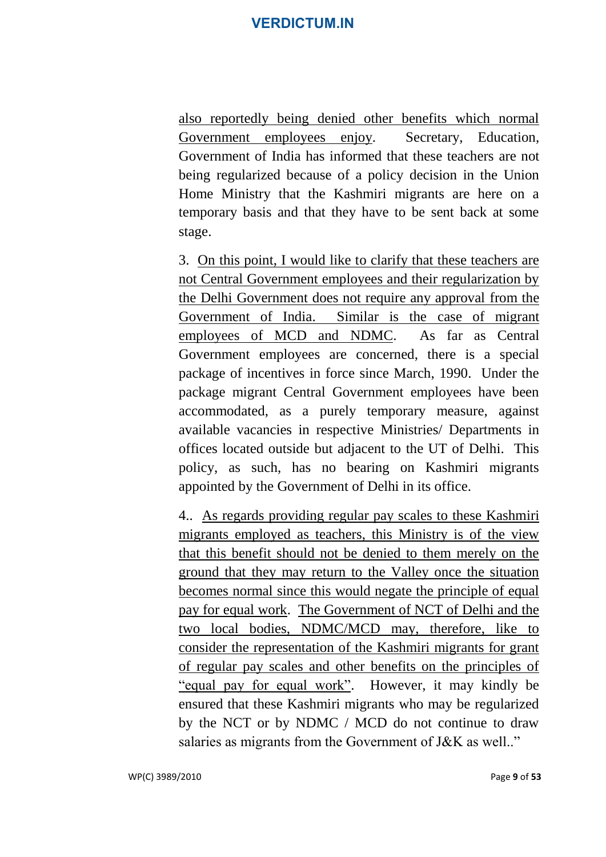also reportedly being denied other benefits which normal Government employees enjoy. Secretary, Education, Government of India has informed that these teachers are not being regularized because of a policy decision in the Union Home Ministry that the Kashmiri migrants are here on a temporary basis and that they have to be sent back at some stage.

3. On this point, I would like to clarify that these teachers are not Central Government employees and their regularization by the Delhi Government does not require any approval from the Government of India. Similar is the case of migrant employees of MCD and NDMC. As far as Central Government employees are concerned, there is a special package of incentives in force since March, 1990. Under the package migrant Central Government employees have been accommodated, as a purely temporary measure, against available vacancies in respective Ministries/ Departments in offices located outside but adjacent to the UT of Delhi. This policy, as such, has no bearing on Kashmiri migrants appointed by the Government of Delhi in its office.

4.. As regards providing regular pay scales to these Kashmiri migrants employed as teachers, this Ministry is of the view that this benefit should not be denied to them merely on the ground that they may return to the Valley once the situation becomes normal since this would negate the principle of equal pay for equal work. The Government of NCT of Delhi and the two local bodies, NDMC/MCD may, therefore, like to consider the representation of the Kashmiri migrants for grant of regular pay scales and other benefits on the principles of "equal pay for equal work". However, it may kindly be ensured that these Kashmiri migrants who may be regularized by the NCT or by NDMC / MCD do not continue to draw salaries as migrants from the Government of J&K as well.."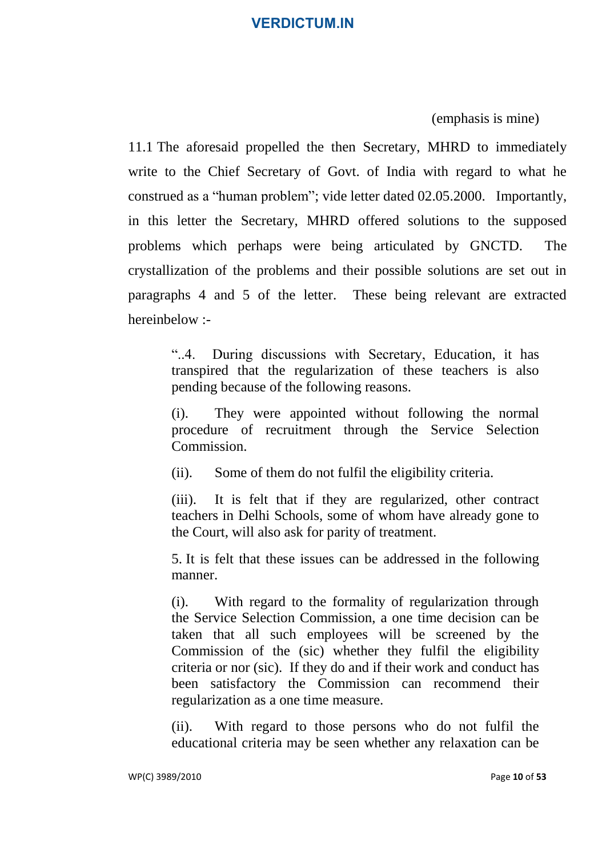(emphasis is mine)

11.1 The aforesaid propelled the then Secretary, MHRD to immediately write to the Chief Secretary of Govt. of India with regard to what he construed as a "human problem"; vide letter dated 02.05.2000. Importantly, in this letter the Secretary, MHRD offered solutions to the supposed problems which perhaps were being articulated by GNCTD. The crystallization of the problems and their possible solutions are set out in paragraphs 4 and 5 of the letter. These being relevant are extracted hereinbelow :-

"..4. During discussions with Secretary, Education, it has transpired that the regularization of these teachers is also pending because of the following reasons.

(i). They were appointed without following the normal procedure of recruitment through the Service Selection Commission.

(ii). Some of them do not fulfil the eligibility criteria.

(iii). It is felt that if they are regularized, other contract teachers in Delhi Schools, some of whom have already gone to the Court, will also ask for parity of treatment.

5. It is felt that these issues can be addressed in the following manner.

(i). With regard to the formality of regularization through the Service Selection Commission, a one time decision can be taken that all such employees will be screened by the Commission of the (sic) whether they fulfil the eligibility criteria or nor (sic). If they do and if their work and conduct has been satisfactory the Commission can recommend their regularization as a one time measure.

(ii). With regard to those persons who do not fulfil the educational criteria may be seen whether any relaxation can be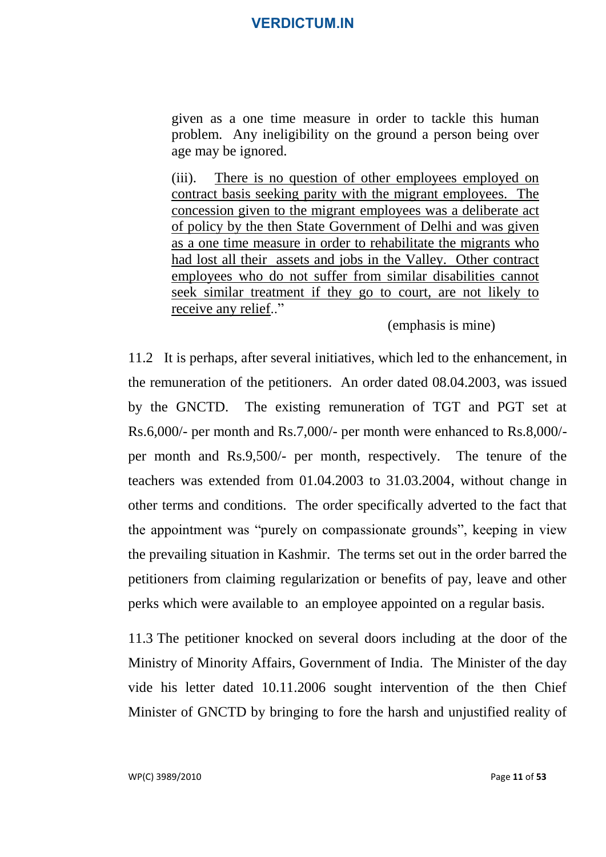given as a one time measure in order to tackle this human problem. Any ineligibility on the ground a person being over age may be ignored.

(iii). There is no question of other employees employed on contract basis seeking parity with the migrant employees. The concession given to the migrant employees was a deliberate act of policy by the then State Government of Delhi and was given as a one time measure in order to rehabilitate the migrants who had lost all their assets and jobs in the Valley. Other contract employees who do not suffer from similar disabilities cannot seek similar treatment if they go to court, are not likely to receive any relief.."

(emphasis is mine)

11.2 It is perhaps, after several initiatives, which led to the enhancement, in the remuneration of the petitioners. An order dated 08.04.2003, was issued by the GNCTD. The existing remuneration of TGT and PGT set at Rs.6,000/- per month and Rs.7,000/- per month were enhanced to Rs.8,000/ per month and Rs.9,500/- per month, respectively. The tenure of the teachers was extended from 01.04.2003 to 31.03.2004, without change in other terms and conditions. The order specifically adverted to the fact that the appointment was "purely on compassionate grounds", keeping in view the prevailing situation in Kashmir. The terms set out in the order barred the petitioners from claiming regularization or benefits of pay, leave and other perks which were available to an employee appointed on a regular basis.

11.3 The petitioner knocked on several doors including at the door of the Ministry of Minority Affairs, Government of India. The Minister of the day vide his letter dated 10.11.2006 sought intervention of the then Chief Minister of GNCTD by bringing to fore the harsh and unjustified reality of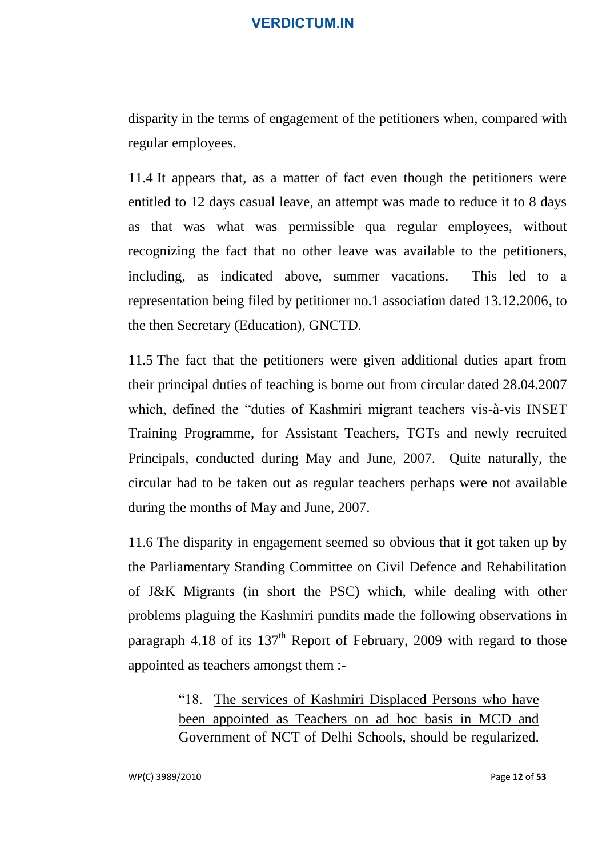disparity in the terms of engagement of the petitioners when, compared with regular employees.

11.4 It appears that, as a matter of fact even though the petitioners were entitled to 12 days casual leave, an attempt was made to reduce it to 8 days as that was what was permissible qua regular employees, without recognizing the fact that no other leave was available to the petitioners, including, as indicated above, summer vacations. This led to a representation being filed by petitioner no.1 association dated 13.12.2006, to the then Secretary (Education), GNCTD.

11.5 The fact that the petitioners were given additional duties apart from their principal duties of teaching is borne out from circular dated 28.04.2007 which, defined the "duties of Kashmiri migrant teachers vis-à-vis INSET Training Programme, for Assistant Teachers, TGTs and newly recruited Principals, conducted during May and June, 2007. Quite naturally, the circular had to be taken out as regular teachers perhaps were not available during the months of May and June, 2007.

11.6 The disparity in engagement seemed so obvious that it got taken up by the Parliamentary Standing Committee on Civil Defence and Rehabilitation of J&K Migrants (in short the PSC) which, while dealing with other problems plaguing the Kashmiri pundits made the following observations in paragraph 4.18 of its  $137<sup>th</sup>$  Report of February, 2009 with regard to those appointed as teachers amongst them :-

> "18. The services of Kashmiri Displaced Persons who have been appointed as Teachers on ad hoc basis in MCD and Government of NCT of Delhi Schools, should be regularized.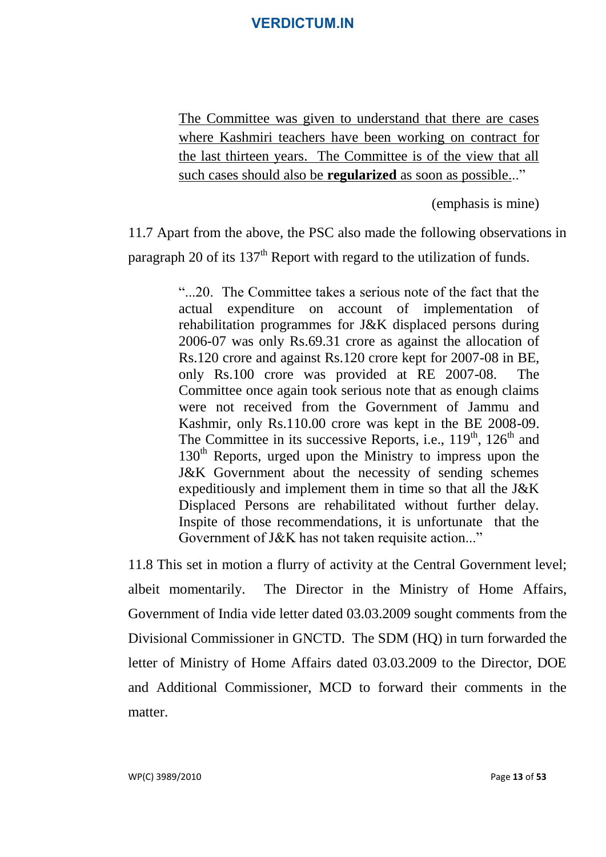The Committee was given to understand that there are cases where Kashmiri teachers have been working on contract for the last thirteen years. The Committee is of the view that all such cases should also be **regularized** as soon as possible..."

(emphasis is mine)

11.7 Apart from the above, the PSC also made the following observations in paragraph 20 of its  $137<sup>th</sup>$  Report with regard to the utilization of funds.

> "...20. The Committee takes a serious note of the fact that the actual expenditure on account of implementation of rehabilitation programmes for J&K displaced persons during 2006-07 was only Rs.69.31 crore as against the allocation of Rs.120 crore and against Rs.120 crore kept for 2007-08 in BE, only Rs.100 crore was provided at RE 2007-08. The Committee once again took serious note that as enough claims were not received from the Government of Jammu and Kashmir, only Rs.110.00 crore was kept in the BE 2008-09. The Committee in its successive Reports, i.e.,  $119<sup>th</sup>$ ,  $126<sup>th</sup>$  and  $130<sup>th</sup>$  Reports, urged upon the Ministry to impress upon the J&K Government about the necessity of sending schemes expeditiously and implement them in time so that all the J&K Displaced Persons are rehabilitated without further delay. Inspite of those recommendations, it is unfortunate that the Government of J&K has not taken requisite action..."

11.8 This set in motion a flurry of activity at the Central Government level; albeit momentarily. The Director in the Ministry of Home Affairs, Government of India vide letter dated 03.03.2009 sought comments from the Divisional Commissioner in GNCTD. The SDM (HQ) in turn forwarded the letter of Ministry of Home Affairs dated 03.03.2009 to the Director, DOE and Additional Commissioner, MCD to forward their comments in the matter.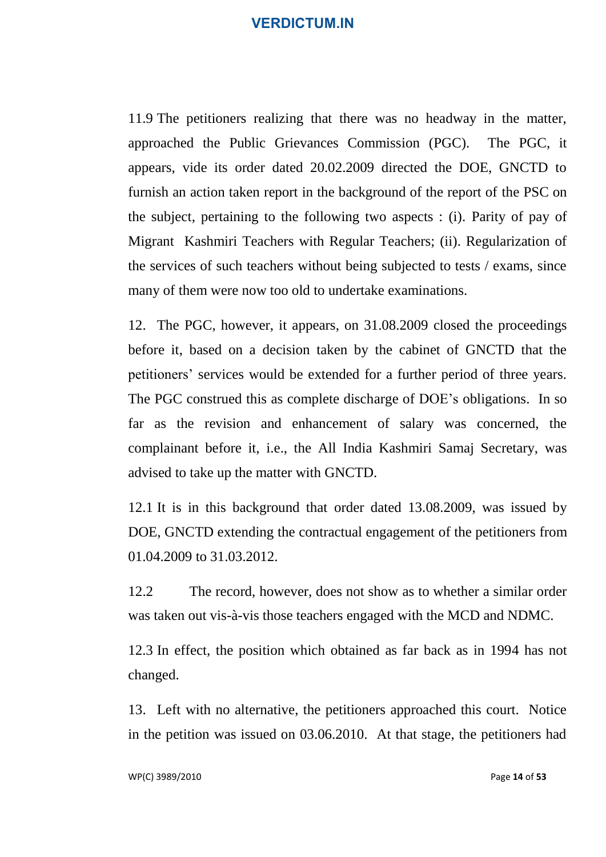11.9 The petitioners realizing that there was no headway in the matter, approached the Public Grievances Commission (PGC). The PGC, it appears, vide its order dated 20.02.2009 directed the DOE, GNCTD to furnish an action taken report in the background of the report of the PSC on the subject, pertaining to the following two aspects : (i). Parity of pay of Migrant Kashmiri Teachers with Regular Teachers; (ii). Regularization of the services of such teachers without being subjected to tests / exams, since many of them were now too old to undertake examinations.

12. The PGC, however, it appears, on 31.08.2009 closed the proceedings before it, based on a decision taken by the cabinet of GNCTD that the petitioners' services would be extended for a further period of three years. The PGC construed this as complete discharge of DOE's obligations. In so far as the revision and enhancement of salary was concerned, the complainant before it, i.e., the All India Kashmiri Samaj Secretary, was advised to take up the matter with GNCTD.

12.1 It is in this background that order dated 13.08.2009, was issued by DOE, GNCTD extending the contractual engagement of the petitioners from 01.04.2009 to 31.03.2012.

12.2 The record, however, does not show as to whether a similar order was taken out vis-à-vis those teachers engaged with the MCD and NDMC.

12.3 In effect, the position which obtained as far back as in 1994 has not changed.

13. Left with no alternative, the petitioners approached this court. Notice in the petition was issued on 03.06.2010. At that stage, the petitioners had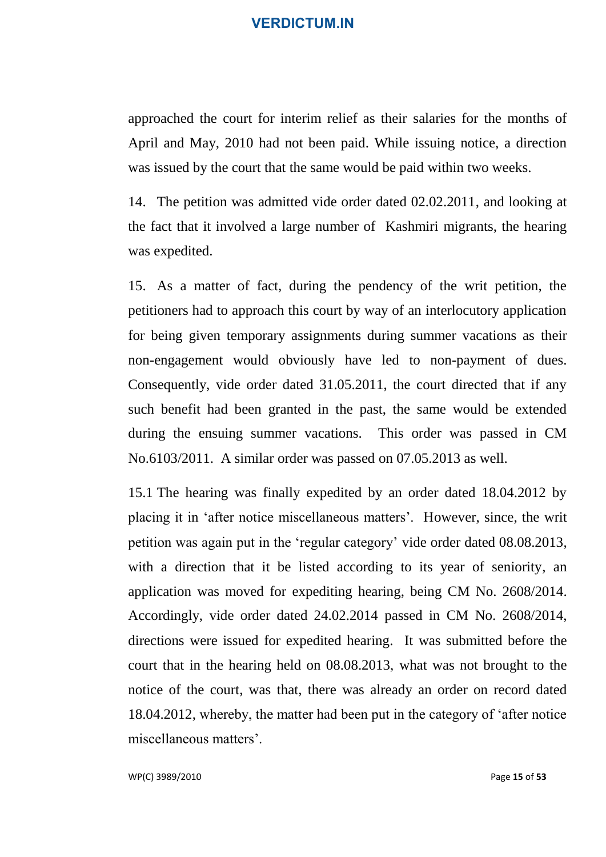approached the court for interim relief as their salaries for the months of April and May, 2010 had not been paid. While issuing notice, a direction was issued by the court that the same would be paid within two weeks.

14. The petition was admitted vide order dated 02.02.2011, and looking at the fact that it involved a large number of Kashmiri migrants, the hearing was expedited.

15. As a matter of fact, during the pendency of the writ petition, the petitioners had to approach this court by way of an interlocutory application for being given temporary assignments during summer vacations as their non-engagement would obviously have led to non-payment of dues. Consequently, vide order dated 31.05.2011, the court directed that if any such benefit had been granted in the past, the same would be extended during the ensuing summer vacations. This order was passed in CM No.6103/2011. A similar order was passed on 07.05.2013 as well.

15.1 The hearing was finally expedited by an order dated 18.04.2012 by placing it in 'after notice miscellaneous matters'. However, since, the writ petition was again put in the 'regular category' vide order dated 08.08.2013, with a direction that it be listed according to its year of seniority, an application was moved for expediting hearing, being CM No. 2608/2014. Accordingly, vide order dated 24.02.2014 passed in CM No. 2608/2014, directions were issued for expedited hearing. It was submitted before the court that in the hearing held on 08.08.2013, what was not brought to the notice of the court, was that, there was already an order on record dated 18.04.2012, whereby, the matter had been put in the category of 'after notice miscellaneous matters'.

WP(C) 3989/2010 Page **15** of **53**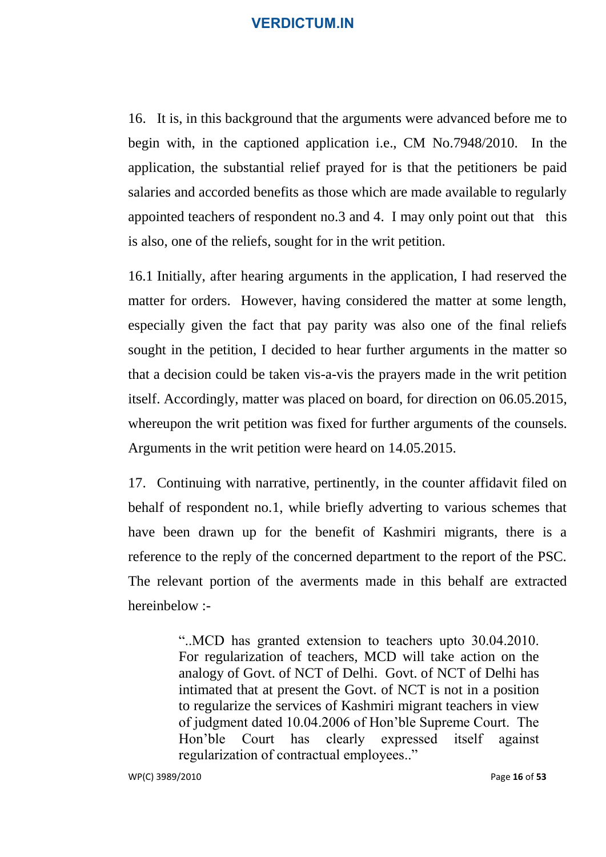16. It is, in this background that the arguments were advanced before me to begin with, in the captioned application i.e., CM No.7948/2010. In the application, the substantial relief prayed for is that the petitioners be paid salaries and accorded benefits as those which are made available to regularly appointed teachers of respondent no.3 and 4. I may only point out that this is also, one of the reliefs, sought for in the writ petition.

16.1 Initially, after hearing arguments in the application, I had reserved the matter for orders. However, having considered the matter at some length, especially given the fact that pay parity was also one of the final reliefs sought in the petition, I decided to hear further arguments in the matter so that a decision could be taken vis-a-vis the prayers made in the writ petition itself. Accordingly, matter was placed on board, for direction on 06.05.2015, whereupon the writ petition was fixed for further arguments of the counsels. Arguments in the writ petition were heard on 14.05.2015.

17. Continuing with narrative, pertinently, in the counter affidavit filed on behalf of respondent no.1, while briefly adverting to various schemes that have been drawn up for the benefit of Kashmiri migrants, there is a reference to the reply of the concerned department to the report of the PSC. The relevant portion of the averments made in this behalf are extracted hereinbelow :-

> "..MCD has granted extension to teachers upto 30.04.2010. For regularization of teachers, MCD will take action on the analogy of Govt. of NCT of Delhi. Govt. of NCT of Delhi has intimated that at present the Govt. of NCT is not in a position to regularize the services of Kashmiri migrant teachers in view of judgment dated 10.04.2006 of Hon'ble Supreme Court. The Hon'ble Court has clearly expressed itself against regularization of contractual employees.."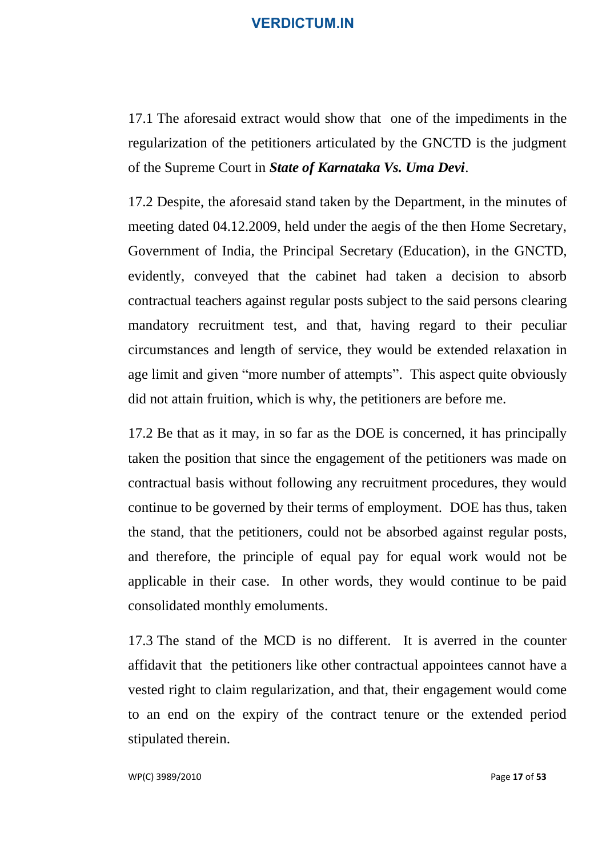17.1 The aforesaid extract would show that one of the impediments in the regularization of the petitioners articulated by the GNCTD is the judgment of the Supreme Court in *State of Karnataka Vs. Uma Devi*.

17.2 Despite, the aforesaid stand taken by the Department, in the minutes of meeting dated 04.12.2009, held under the aegis of the then Home Secretary, Government of India, the Principal Secretary (Education), in the GNCTD, evidently, conveyed that the cabinet had taken a decision to absorb contractual teachers against regular posts subject to the said persons clearing mandatory recruitment test, and that, having regard to their peculiar circumstances and length of service, they would be extended relaxation in age limit and given "more number of attempts". This aspect quite obviously did not attain fruition, which is why, the petitioners are before me.

17.2 Be that as it may, in so far as the DOE is concerned, it has principally taken the position that since the engagement of the petitioners was made on contractual basis without following any recruitment procedures, they would continue to be governed by their terms of employment. DOE has thus, taken the stand, that the petitioners, could not be absorbed against regular posts, and therefore, the principle of equal pay for equal work would not be applicable in their case. In other words, they would continue to be paid consolidated monthly emoluments.

17.3 The stand of the MCD is no different. It is averred in the counter affidavit that the petitioners like other contractual appointees cannot have a vested right to claim regularization, and that, their engagement would come to an end on the expiry of the contract tenure or the extended period stipulated therein.

WP(C) 3989/2010 Page **17** of **53**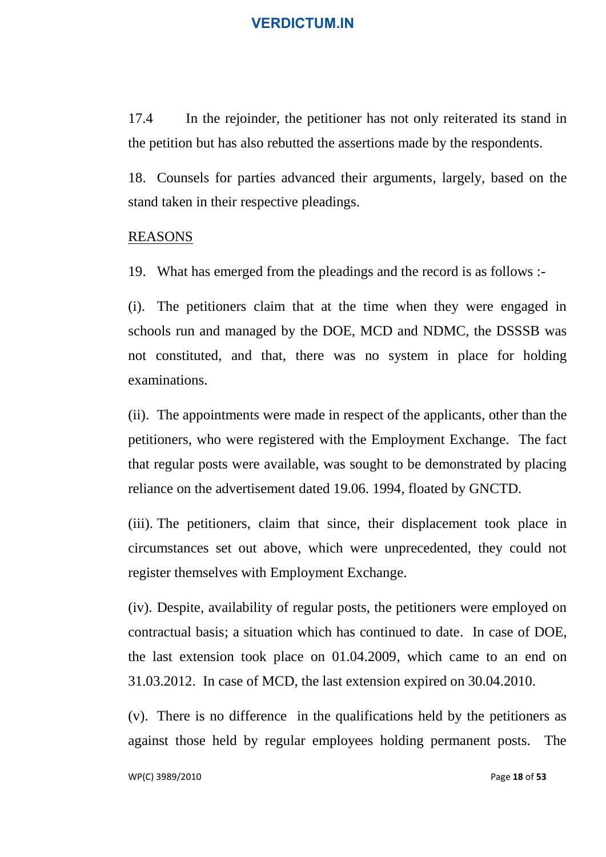17.4 In the rejoinder, the petitioner has not only reiterated its stand in the petition but has also rebutted the assertions made by the respondents.

18. Counsels for parties advanced their arguments, largely, based on the stand taken in their respective pleadings.

#### REASONS

19. What has emerged from the pleadings and the record is as follows :-

(i). The petitioners claim that at the time when they were engaged in schools run and managed by the DOE, MCD and NDMC, the DSSSB was not constituted, and that, there was no system in place for holding examinations.

(ii). The appointments were made in respect of the applicants, other than the petitioners, who were registered with the Employment Exchange. The fact that regular posts were available, was sought to be demonstrated by placing reliance on the advertisement dated 19.06. 1994, floated by GNCTD.

(iii). The petitioners, claim that since, their displacement took place in circumstances set out above, which were unprecedented, they could not register themselves with Employment Exchange.

(iv). Despite, availability of regular posts, the petitioners were employed on contractual basis; a situation which has continued to date. In case of DOE, the last extension took place on 01.04.2009, which came to an end on 31.03.2012. In case of MCD, the last extension expired on 30.04.2010.

(v). There is no difference in the qualifications held by the petitioners as against those held by regular employees holding permanent posts. The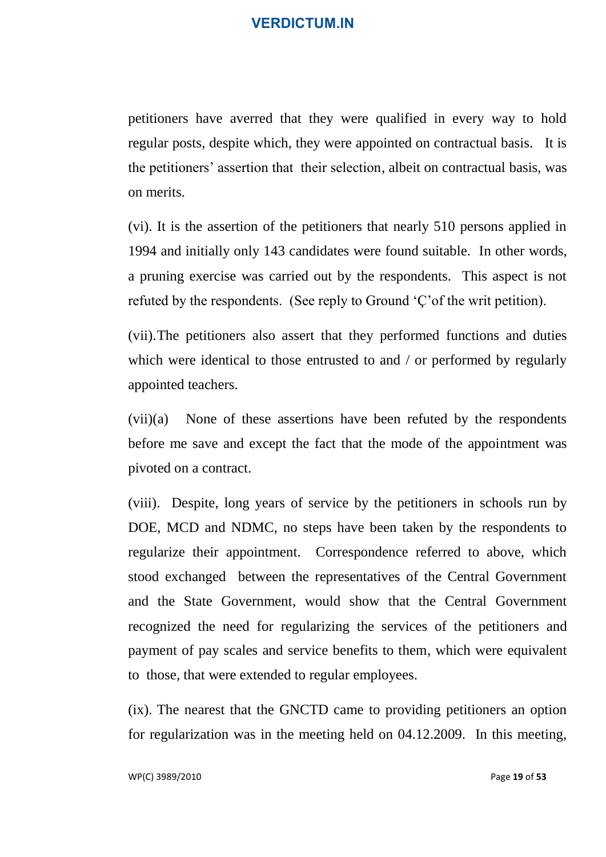petitioners have averred that they were qualified in every way to hold regular posts, despite which, they were appointed on contractual basis. It is the petitioners' assertion that their selection, albeit on contractual basis, was on merits.

(vi). It is the assertion of the petitioners that nearly 510 persons applied in 1994 and initially only 143 candidates were found suitable. In other words, a pruning exercise was carried out by the respondents. This aspect is not refuted by the respondents. (See reply to Ground 'Ç'of the writ petition).

(vii).The petitioners also assert that they performed functions and duties which were identical to those entrusted to and / or performed by regularly appointed teachers.

(vii)(a) None of these assertions have been refuted by the respondents before me save and except the fact that the mode of the appointment was pivoted on a contract.

(viii). Despite, long years of service by the petitioners in schools run by DOE, MCD and NDMC, no steps have been taken by the respondents to regularize their appointment. Correspondence referred to above, which stood exchanged between the representatives of the Central Government and the State Government, would show that the Central Government recognized the need for regularizing the services of the petitioners and payment of pay scales and service benefits to them, which were equivalent to those, that were extended to regular employees.

(ix). The nearest that the GNCTD came to providing petitioners an option for regularization was in the meeting held on 04.12.2009. In this meeting,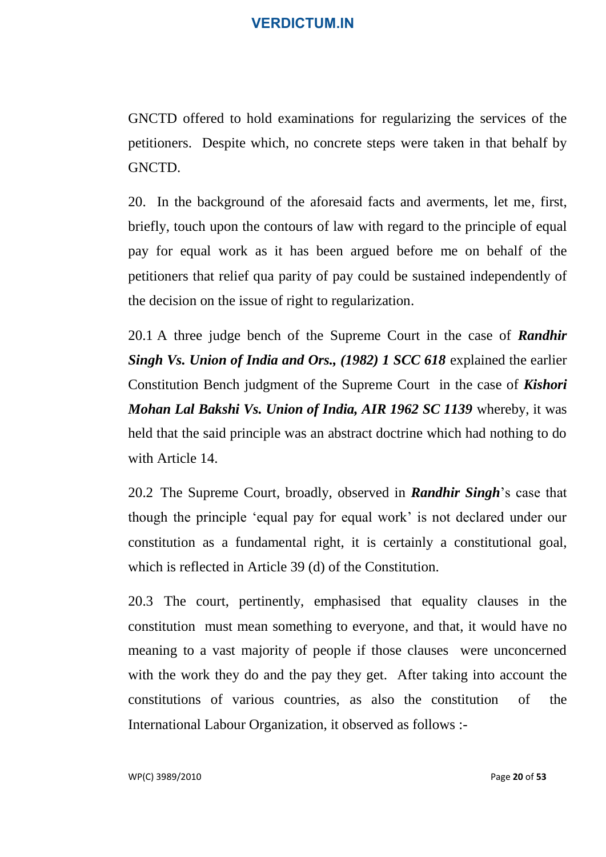GNCTD offered to hold examinations for regularizing the services of the petitioners. Despite which, no concrete steps were taken in that behalf by GNCTD.

20. In the background of the aforesaid facts and averments, let me, first, briefly, touch upon the contours of law with regard to the principle of equal pay for equal work as it has been argued before me on behalf of the petitioners that relief qua parity of pay could be sustained independently of the decision on the issue of right to regularization.

20.1 A three judge bench of the Supreme Court in the case of *Randhir Singh Vs. Union of India and Ors., (1982) 1 SCC 618* explained the earlier Constitution Bench judgment of the Supreme Court in the case of *Kishori Mohan Lal Bakshi Vs. Union of India, AIR 1962 SC 1139* whereby, it was held that the said principle was an abstract doctrine which had nothing to do with Article 14.

20.2 The Supreme Court, broadly, observed in *Randhir Singh*'s case that though the principle 'equal pay for equal work' is not declared under our constitution as a fundamental right, it is certainly a constitutional goal, which is reflected in Article 39 (d) of the Constitution.

20.3 The court, pertinently, emphasised that equality clauses in the constitution must mean something to everyone, and that, it would have no meaning to a vast majority of people if those clauses were unconcerned with the work they do and the pay they get. After taking into account the constitutions of various countries, as also the constitution of the International Labour Organization, it observed as follows :-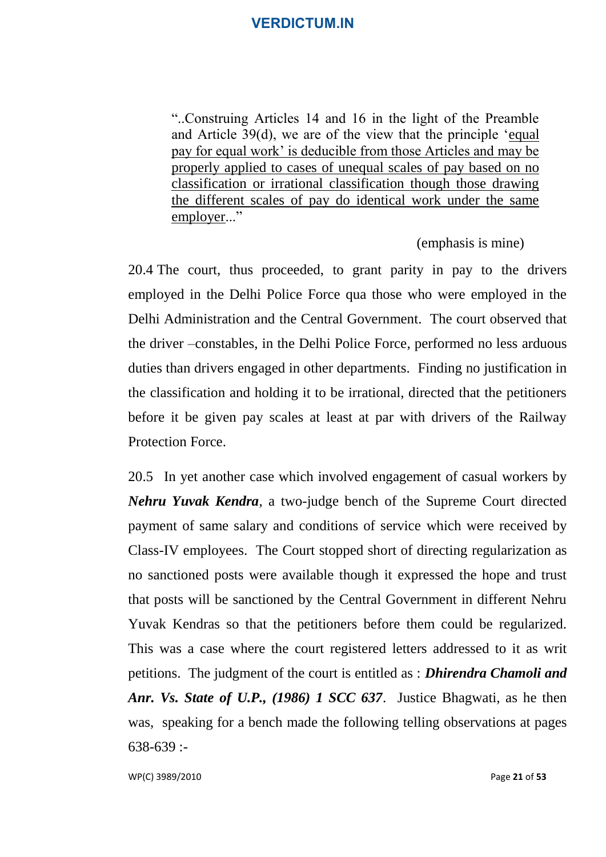"..Construing Articles 14 and 16 in the light of the Preamble and Article 39(d), we are of the view that the principle 'equal pay for equal work' is deducible from those Articles and may be properly applied to cases of unequal scales of pay based on no classification or irrational classification though those drawing the different scales of pay do identical work under the same employer..."

(emphasis is mine)

20.4 The court, thus proceeded, to grant parity in pay to the drivers employed in the Delhi Police Force qua those who were employed in the Delhi Administration and the Central Government. The court observed that the driver –constables, in the Delhi Police Force, performed no less arduous duties than drivers engaged in other departments. Finding no justification in the classification and holding it to be irrational, directed that the petitioners before it be given pay scales at least at par with drivers of the Railway Protection Force.

20.5 In yet another case which involved engagement of casual workers by *Nehru Yuvak Kendra*, a two-judge bench of the Supreme Court directed payment of same salary and conditions of service which were received by Class-IV employees. The Court stopped short of directing regularization as no sanctioned posts were available though it expressed the hope and trust that posts will be sanctioned by the Central Government in different Nehru Yuvak Kendras so that the petitioners before them could be regularized. This was a case where the court registered letters addressed to it as writ petitions. The judgment of the court is entitled as : *Dhirendra Chamoli and Anr. Vs. State of U.P., (1986) 1 SCC 637*. Justice Bhagwati, as he then was, speaking for a bench made the following telling observations at pages 638-639 :-

WP(C) 3989/2010 Page **21** of **53**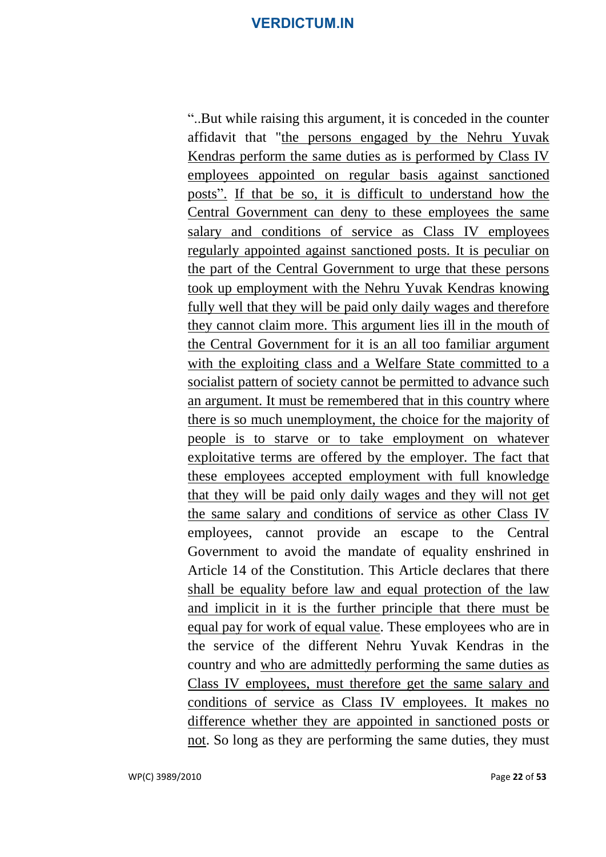"..But while raising this argument, it is conceded in the counter affidavit that "the persons engaged by the Nehru Yuvak Kendras perform the same duties as is performed by Class IV employees appointed on regular basis against sanctioned posts". If that be so, it is difficult to understand how the Central Government can deny to these employees the same salary and conditions of service as Class IV employees regularly appointed against sanctioned posts. It is peculiar on the part of the Central Government to urge that these persons took up employment with the Nehru Yuvak Kendras knowing fully well that they will be paid only daily wages and therefore they cannot claim more. This argument lies ill in the mouth of the Central Government for it is an all too familiar argument with the exploiting class and a Welfare State committed to a socialist pattern of society cannot be permitted to advance such an argument. It must be remembered that in this country where there is so much unemployment, the choice for the majority of people is to starve or to take employment on whatever exploitative terms are offered by the employer. The fact that these employees accepted employment with full knowledge that they will be paid only daily wages and they will not get the same salary and conditions of service as other Class IV employees, cannot provide an escape to the Central Government to avoid the mandate of equality enshrined in Article 14 of the Constitution. This Article declares that there shall be equality before law and equal protection of the law and implicit in it is the further principle that there must be equal pay for work of equal value. These employees who are in the service of the different Nehru Yuvak Kendras in the country and who are admittedly performing the same duties as Class IV employees, must therefore get the same salary and conditions of service as Class IV employees. It makes no difference whether they are appointed in sanctioned posts or not. So long as they are performing the same duties, they must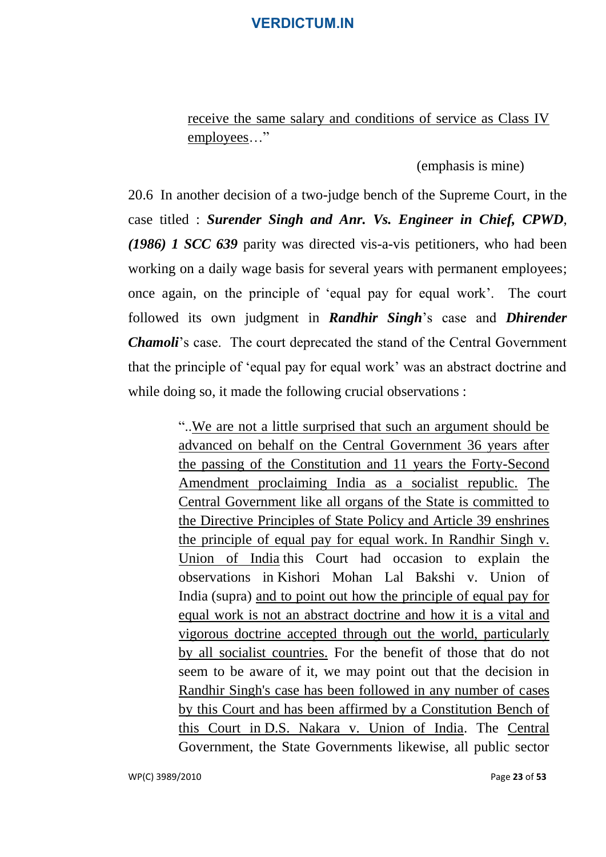receive the same salary and conditions of service as Class IV employees…"

(emphasis is mine)

20.6 In another decision of a two-judge bench of the Supreme Court, in the case titled : *Surender Singh and Anr. Vs. Engineer in Chief, CPWD*, *(1986) 1 SCC 639* parity was directed vis-a-vis petitioners, who had been working on a daily wage basis for several years with permanent employees; once again, on the principle of 'equal pay for equal work'. The court followed its own judgment in *Randhir Singh*'s case and *Dhirender Chamoli*'s case. The court deprecated the stand of the Central Government that the principle of 'equal pay for equal work' was an abstract doctrine and while doing so, it made the following crucial observations :

> "..We are not a little surprised that such an argument should be advanced on behalf on the Central Government 36 years after the passing of the Constitution and 11 years the Forty-Second Amendment proclaiming India as a socialist republic. The Central Government like all organs of the State is committed to the Directive Principles of State Policy and Article 39 enshrines the principle of equal pay for equal work. [In Randhir Singh v.](http://indiankanoon.org/doc/1230349/)  [Union of India](http://indiankanoon.org/doc/1230349/) this Court had occasion to explain the observations in [Kishori Mohan Lal Bakshi v. Union of](http://indiankanoon.org/doc/1303915/)  [India](http://indiankanoon.org/doc/1303915/) (supra) and to point out how the principle of equal pay for equal work is not an abstract doctrine and how it is a vital and vigorous doctrine accepted through out the world, particularly by all socialist countries. For the benefit of those that do not seem to be aware of it, we may point out that the decision in Randhir Singh's case has been followed in any number of cases by this Court and has been affirmed by a Constitution Bench of this Court in [D.S. Nakara v. Union of India.](http://indiankanoon.org/doc/1416283/) The Central Government, the State Governments likewise, all public sector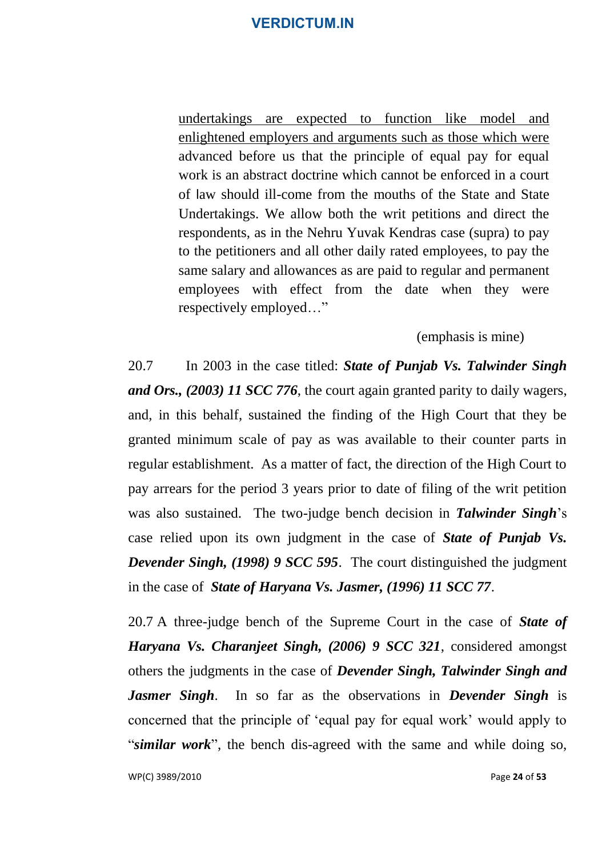undertakings are expected to function like model and enlightened employers and arguments such as those which were advanced before us that the principle of equal pay for equal work is an abstract doctrine which cannot be enforced in a court of law should ill-come from the mouths of the State and State Undertakings. We allow both the writ petitions and direct the respondents, as in the Nehru Yuvak Kendras case (supra) to pay to the petitioners and all other daily rated employees, to pay the same salary and allowances as are paid to regular and permanent employees with effect from the date when they were respectively employed…"

(emphasis is mine)

20.7 In 2003 in the case titled: *State of Punjab Vs. Talwinder Singh and Ors., (2003) 11 SCC 776*, the court again granted parity to daily wagers, and, in this behalf, sustained the finding of the High Court that they be granted minimum scale of pay as was available to their counter parts in regular establishment. As a matter of fact, the direction of the High Court to pay arrears for the period 3 years prior to date of filing of the writ petition was also sustained. The two-judge bench decision in *Talwinder Singh*'s case relied upon its own judgment in the case of *State of Punjab Vs. Devender Singh, (1998) 9 SCC 595*. The court distinguished the judgment in the case of *State of Haryana Vs. Jasmer, (1996) 11 SCC 77*.

20.7 A three-judge bench of the Supreme Court in the case of *State of Haryana Vs. Charanjeet Singh, (2006) 9 SCC 321*, considered amongst others the judgments in the case of *Devender Singh, Talwinder Singh and Jasmer Singh*. In so far as the observations in *Devender Singh* is concerned that the principle of 'equal pay for equal work' would apply to "*similar work*", the bench dis-agreed with the same and while doing so,

WP(C) 3989/2010 Page **24** of **53**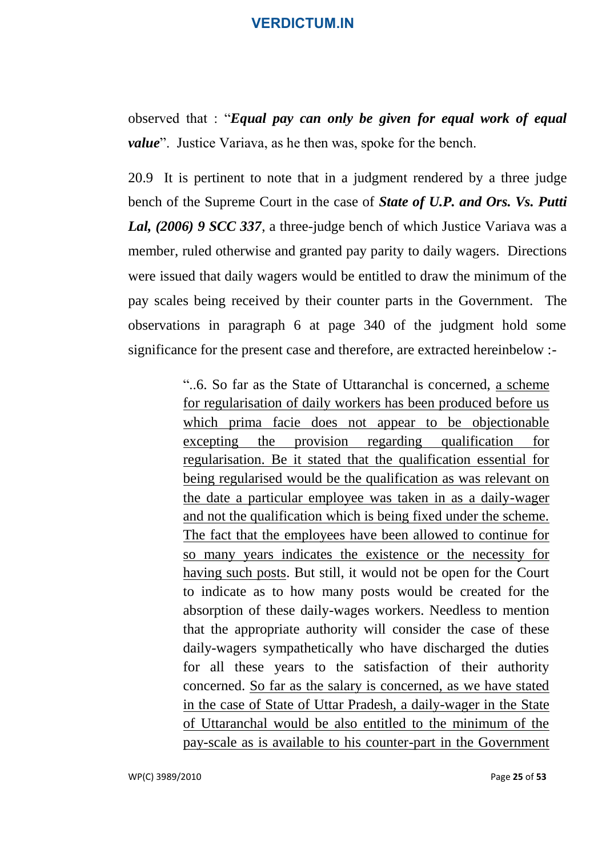observed that : "*Equal pay can only be given for equal work of equal value*". Justice Variava, as he then was, spoke for the bench.

20.9 It is pertinent to note that in a judgment rendered by a three judge bench of the Supreme Court in the case of *State of U.P. and Ors. Vs. Putti Lal, (2006) 9 SCC 337*, a three-judge bench of which Justice Variava was a member, ruled otherwise and granted pay parity to daily wagers. Directions were issued that daily wagers would be entitled to draw the minimum of the pay scales being received by their counter parts in the Government. The observations in paragraph 6 at page 340 of the judgment hold some significance for the present case and therefore, are extracted hereinbelow :-

> "..6. So far as the State of Uttaranchal is concerned, a scheme for regularisation of daily workers has been produced before us which prima facie does not appear to be objectionable excepting the provision regarding qualification for regularisation. Be it stated that the qualification essential for being regularised would be the qualification as was relevant on the date a particular employee was taken in as a daily-wager and not the qualification which is being fixed under the scheme. The fact that the employees have been allowed to continue for so many years indicates the existence or the necessity for having such posts. But still, it would not be open for the Court to indicate as to how many posts would be created for the absorption of these daily-wages workers. Needless to mention that the appropriate authority will consider the case of these daily-wagers sympathetically who have discharged the duties for all these years to the satisfaction of their authority concerned. So far as the salary is concerned, as we have stated in the case of State of Uttar Pradesh, a daily-wager in the State of Uttaranchal would be also entitled to the minimum of the pay-scale as is available to his counter-part in the Government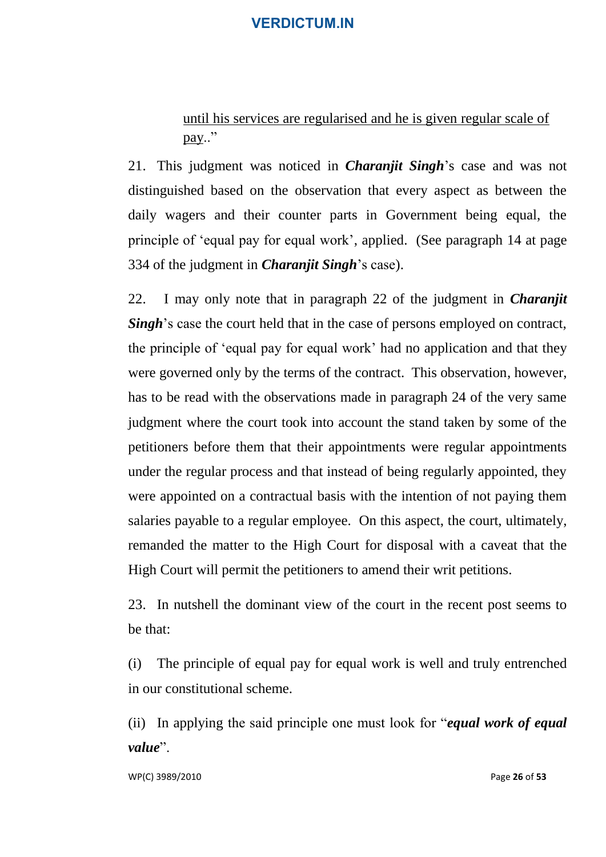until his services are regularised and he is given regular scale of pay.."

21. This judgment was noticed in *Charanjit Singh*'s case and was not distinguished based on the observation that every aspect as between the daily wagers and their counter parts in Government being equal, the principle of 'equal pay for equal work', applied. (See paragraph 14 at page 334 of the judgment in *Charanjit Singh*'s case).

22. I may only note that in paragraph 22 of the judgment in *Charanjit Singh*'s case the court held that in the case of persons employed on contract, the principle of 'equal pay for equal work' had no application and that they were governed only by the terms of the contract. This observation, however, has to be read with the observations made in paragraph 24 of the very same judgment where the court took into account the stand taken by some of the petitioners before them that their appointments were regular appointments under the regular process and that instead of being regularly appointed, they were appointed on a contractual basis with the intention of not paying them salaries payable to a regular employee. On this aspect, the court, ultimately, remanded the matter to the High Court for disposal with a caveat that the High Court will permit the petitioners to amend their writ petitions.

23. In nutshell the dominant view of the court in the recent post seems to be that:

(i) The principle of equal pay for equal work is well and truly entrenched in our constitutional scheme.

(ii) In applying the said principle one must look for "*equal work of equal value*".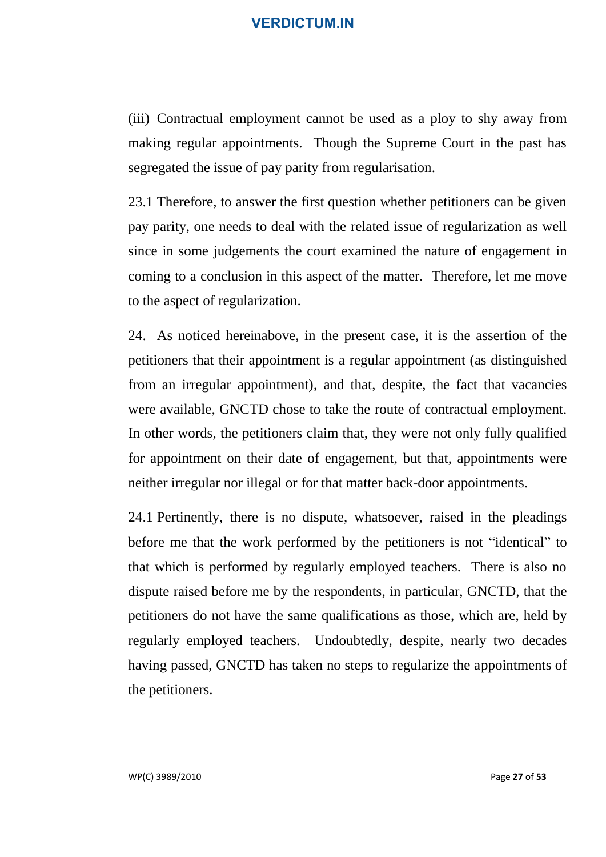(iii) Contractual employment cannot be used as a ploy to shy away from making regular appointments. Though the Supreme Court in the past has segregated the issue of pay parity from regularisation.

23.1 Therefore, to answer the first question whether petitioners can be given pay parity, one needs to deal with the related issue of regularization as well since in some judgements the court examined the nature of engagement in coming to a conclusion in this aspect of the matter. Therefore, let me move to the aspect of regularization.

24. As noticed hereinabove, in the present case, it is the assertion of the petitioners that their appointment is a regular appointment (as distinguished from an irregular appointment), and that, despite, the fact that vacancies were available, GNCTD chose to take the route of contractual employment. In other words, the petitioners claim that, they were not only fully qualified for appointment on their date of engagement, but that, appointments were neither irregular nor illegal or for that matter back-door appointments.

24.1 Pertinently, there is no dispute, whatsoever, raised in the pleadings before me that the work performed by the petitioners is not "identical" to that which is performed by regularly employed teachers. There is also no dispute raised before me by the respondents, in particular, GNCTD, that the petitioners do not have the same qualifications as those, which are, held by regularly employed teachers. Undoubtedly, despite, nearly two decades having passed, GNCTD has taken no steps to regularize the appointments of the petitioners.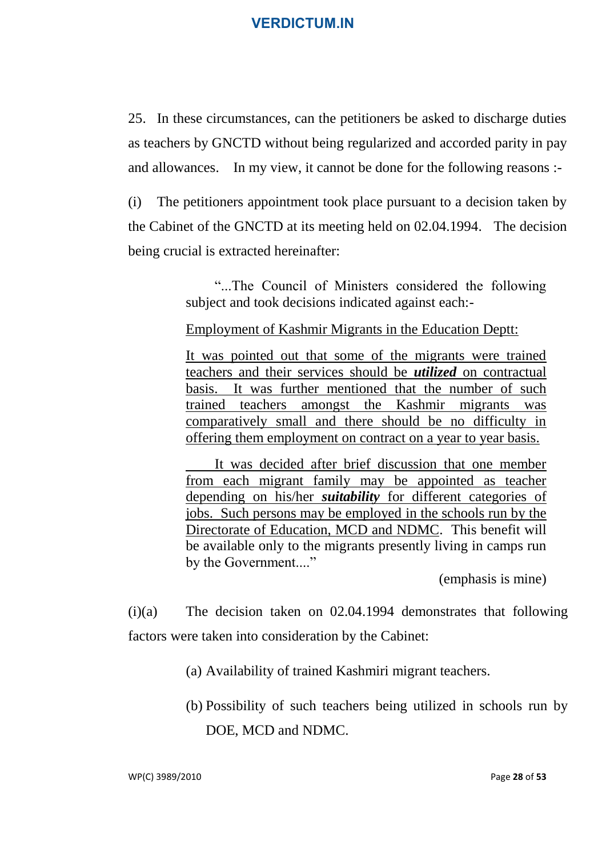25. In these circumstances, can the petitioners be asked to discharge duties as teachers by GNCTD without being regularized and accorded parity in pay and allowances. In my view, it cannot be done for the following reasons :-

(i) The petitioners appointment took place pursuant to a decision taken by the Cabinet of the GNCTD at its meeting held on 02.04.1994. The decision being crucial is extracted hereinafter:

> "...The Council of Ministers considered the following subject and took decisions indicated against each:-

Employment of Kashmir Migrants in the Education Deptt:

It was pointed out that some of the migrants were trained teachers and their services should be *utilized* on contractual basis. It was further mentioned that the number of such trained teachers amongst the Kashmir migrants was comparatively small and there should be no difficulty in offering them employment on contract on a year to year basis.

It was decided after brief discussion that one member from each migrant family may be appointed as teacher depending on his/her *suitability* for different categories of jobs. Such persons may be employed in the schools run by the Directorate of Education, MCD and NDMC. This benefit will be available only to the migrants presently living in camps run by the Government...."

(emphasis is mine)

(i)(a) The decision taken on 02.04.1994 demonstrates that following factors were taken into consideration by the Cabinet:

(a) Availability of trained Kashmiri migrant teachers.

(b) Possibility of such teachers being utilized in schools run by DOE, MCD and NDMC.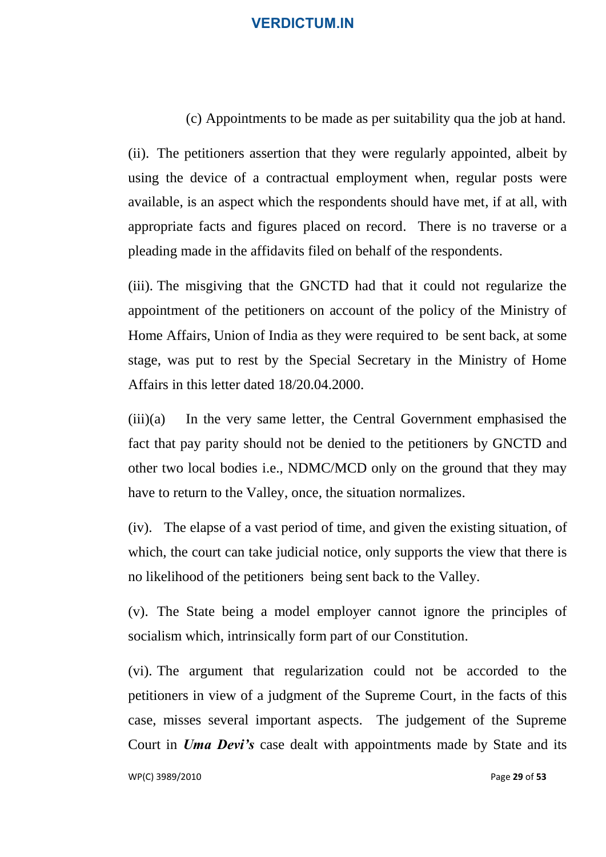#### (c) Appointments to be made as per suitability qua the job at hand.

(ii). The petitioners assertion that they were regularly appointed, albeit by using the device of a contractual employment when, regular posts were available, is an aspect which the respondents should have met, if at all, with appropriate facts and figures placed on record. There is no traverse or a pleading made in the affidavits filed on behalf of the respondents.

(iii). The misgiving that the GNCTD had that it could not regularize the appointment of the petitioners on account of the policy of the Ministry of Home Affairs, Union of India as they were required to be sent back, at some stage, was put to rest by the Special Secretary in the Ministry of Home Affairs in this letter dated 18/20.04.2000.

(iii)(a) In the very same letter, the Central Government emphasised the fact that pay parity should not be denied to the petitioners by GNCTD and other two local bodies i.e., NDMC/MCD only on the ground that they may have to return to the Valley, once, the situation normalizes.

(iv). The elapse of a vast period of time, and given the existing situation, of which, the court can take judicial notice, only supports the view that there is no likelihood of the petitioners being sent back to the Valley.

(v). The State being a model employer cannot ignore the principles of socialism which, intrinsically form part of our Constitution.

(vi). The argument that regularization could not be accorded to the petitioners in view of a judgment of the Supreme Court, in the facts of this case, misses several important aspects. The judgement of the Supreme Court in *Uma Devi's* case dealt with appointments made by State and its

WP(C) 3989/2010 Page **29** of **53**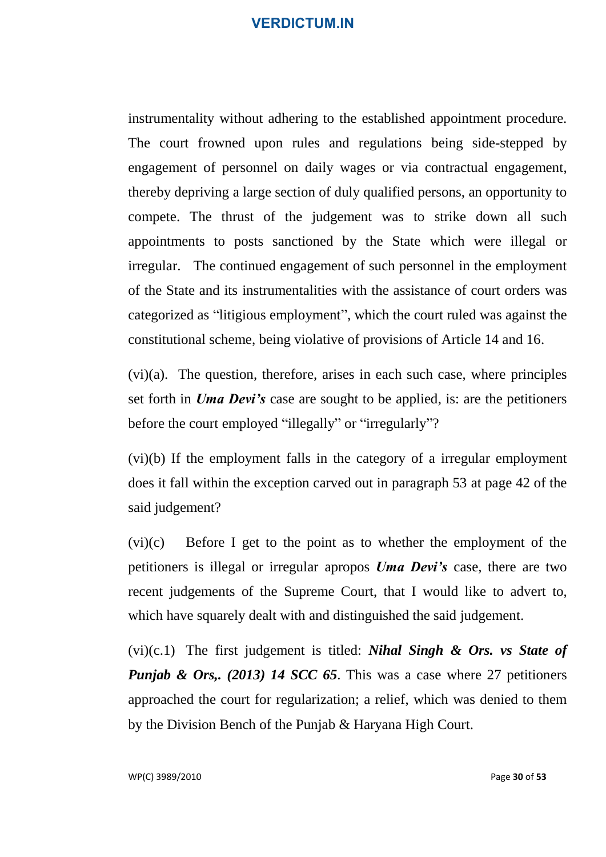instrumentality without adhering to the established appointment procedure. The court frowned upon rules and regulations being side-stepped by engagement of personnel on daily wages or via contractual engagement, thereby depriving a large section of duly qualified persons, an opportunity to compete. The thrust of the judgement was to strike down all such appointments to posts sanctioned by the State which were illegal or irregular. The continued engagement of such personnel in the employment of the State and its instrumentalities with the assistance of court orders was categorized as "litigious employment", which the court ruled was against the constitutional scheme, being violative of provisions of Article 14 and 16.

(vi)(a). The question, therefore, arises in each such case, where principles set forth in *Uma Devi's* case are sought to be applied, is: are the petitioners before the court employed "illegally" or "irregularly"?

(vi)(b) If the employment falls in the category of a irregular employment does it fall within the exception carved out in paragraph 53 at page 42 of the said judgement?

(vi)(c) Before I get to the point as to whether the employment of the petitioners is illegal or irregular apropos *Uma Devi's* case, there are two recent judgements of the Supreme Court, that I would like to advert to, which have squarely dealt with and distinguished the said judgement.

(vi)(c.1) The first judgement is titled: *Nihal Singh & Ors. vs State of Punjab & Ors,. (2013) 14 SCC 65.* This was a case where 27 petitioners approached the court for regularization; a relief, which was denied to them by the Division Bench of the Punjab & Haryana High Court.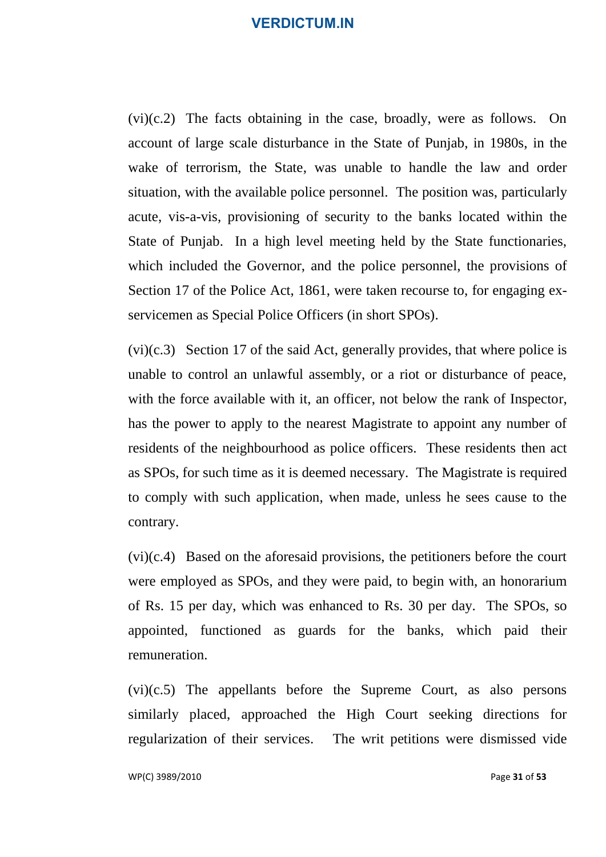$(vi)(c.2)$  The facts obtaining in the case, broadly, were as follows. On account of large scale disturbance in the State of Punjab, in 1980s, in the wake of terrorism, the State, was unable to handle the law and order situation, with the available police personnel. The position was, particularly acute, vis-a-vis, provisioning of security to the banks located within the State of Punjab. In a high level meeting held by the State functionaries, which included the Governor, and the police personnel, the provisions of Section 17 of the Police Act, 1861, were taken recourse to, for engaging exservicemen as Special Police Officers (in short SPOs).

(vi)(c.3) Section 17 of the said Act, generally provides, that where police is unable to control an unlawful assembly, or a riot or disturbance of peace, with the force available with it, an officer, not below the rank of Inspector, has the power to apply to the nearest Magistrate to appoint any number of residents of the neighbourhood as police officers. These residents then act as SPOs, for such time as it is deemed necessary. The Magistrate is required to comply with such application, when made, unless he sees cause to the contrary.

(vi)(c.4) Based on the aforesaid provisions, the petitioners before the court were employed as SPOs, and they were paid, to begin with, an honorarium of Rs. 15 per day, which was enhanced to Rs. 30 per day. The SPOs, so appointed, functioned as guards for the banks, which paid their remuneration.

(vi)(c.5) The appellants before the Supreme Court, as also persons similarly placed, approached the High Court seeking directions for regularization of their services. The writ petitions were dismissed vide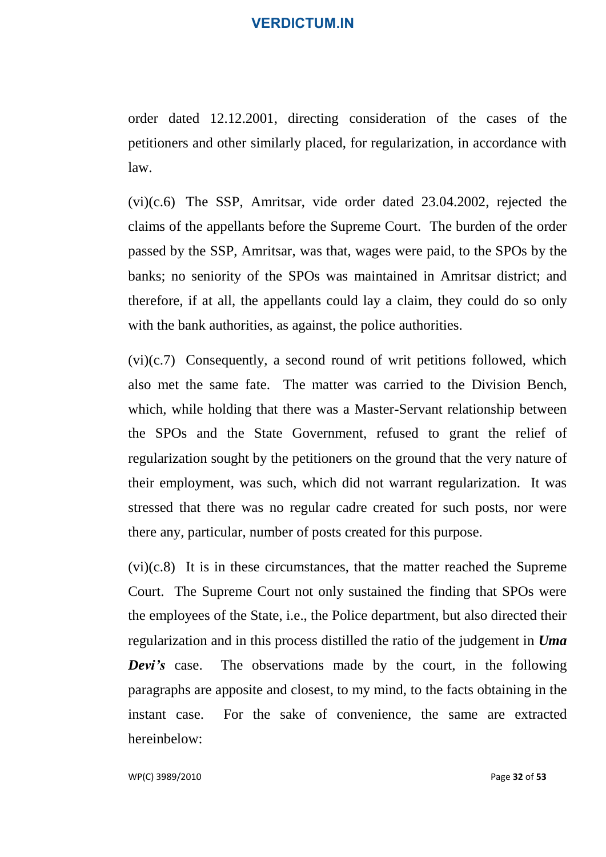order dated 12.12.2001, directing consideration of the cases of the petitioners and other similarly placed, for regularization, in accordance with law.

(vi)(c.6) The SSP, Amritsar, vide order dated 23.04.2002, rejected the claims of the appellants before the Supreme Court. The burden of the order passed by the SSP, Amritsar, was that, wages were paid, to the SPOs by the banks; no seniority of the SPOs was maintained in Amritsar district; and therefore, if at all, the appellants could lay a claim, they could do so only with the bank authorities, as against, the police authorities.

(vi)(c.7) Consequently, a second round of writ petitions followed, which also met the same fate. The matter was carried to the Division Bench, which, while holding that there was a Master-Servant relationship between the SPOs and the State Government, refused to grant the relief of regularization sought by the petitioners on the ground that the very nature of their employment, was such, which did not warrant regularization. It was stressed that there was no regular cadre created for such posts, nor were there any, particular, number of posts created for this purpose.

(vi)(c.8) It is in these circumstances, that the matter reached the Supreme Court. The Supreme Court not only sustained the finding that SPOs were the employees of the State, i.e., the Police department, but also directed their regularization and in this process distilled the ratio of the judgement in *Uma Devi's* case. The observations made by the court, in the following paragraphs are apposite and closest, to my mind, to the facts obtaining in the instant case. For the sake of convenience, the same are extracted hereinbelow:

WP(C) 3989/2010 Page **32** of **53**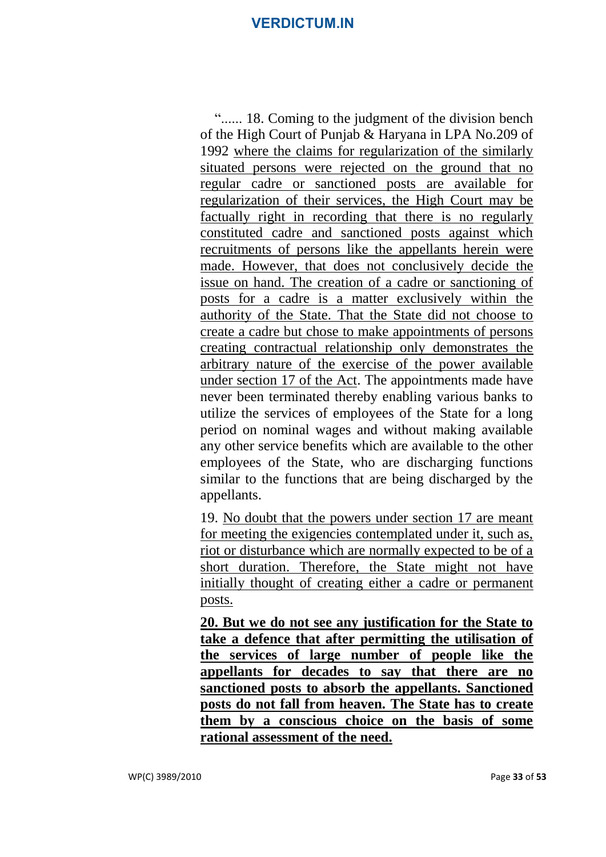"...... 18. Coming to the judgment of the division bench of the High Court of Punjab & Haryana in LPA No.209 of 1992 where the claims for regularization of the similarly situated persons were rejected on the ground that no regular cadre or sanctioned posts are available for regularization of their services, the High Court may be factually right in recording that there is no regularly constituted cadre and sanctioned posts against which recruitments of persons like the appellants herein were made. However, that does not conclusively decide the issue on hand. The creation of a cadre or sanctioning of posts for a cadre is a matter exclusively within the authority of the State. That the State did not choose to create a cadre but chose to make appointments of persons creating contractual relationship only demonstrates the arbitrary nature of the exercise of the power available under section 17 of the Act. The appointments made have never been terminated thereby enabling various banks to utilize the services of employees of the State for a long period on nominal wages and without making available any other service benefits which are available to the other employees of the State, who are discharging functions similar to the functions that are being discharged by the appellants.

19. No doubt that the powers under section 17 are meant for meeting the exigencies contemplated under it, such as, riot or disturbance which are normally expected to be of a short duration. Therefore, the State might not have initially thought of creating either a cadre or permanent posts.

**20. But we do not see any justification for the State to take a defence that after permitting the utilisation of the services of large number of people like the appellants for decades to say that there are no sanctioned posts to absorb the appellants. Sanctioned posts do not fall from heaven. The State has to create them by a conscious choice on the basis of some rational assessment of the need.**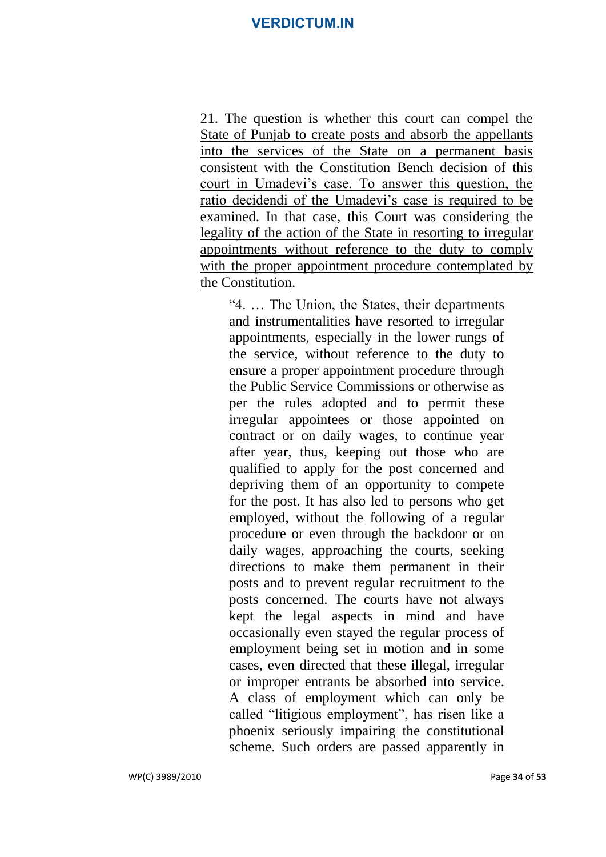21. The question is whether this court can compel the State of Punjab to create posts and absorb the appellants into the services of the State on a permanent basis consistent with the Constitution Bench decision of this court in Umadevi's case. To answer this question, the ratio decidendi of the Umadevi's case is required to be examined. In that case, this Court was considering the legality of the action of the State in resorting to irregular appointments without reference to the duty to comply with the proper appointment procedure contemplated by the Constitution.

"4. … The Union, the States, their departments and instrumentalities have resorted to irregular appointments, especially in the lower rungs of the service, without reference to the duty to ensure a proper appointment procedure through the Public Service Commissions or otherwise as per the rules adopted and to permit these irregular appointees or those appointed on contract or on daily wages, to continue year after year, thus, keeping out those who are qualified to apply for the post concerned and depriving them of an opportunity to compete for the post. It has also led to persons who get employed, without the following of a regular procedure or even through the backdoor or on daily wages, approaching the courts, seeking directions to make them permanent in their posts and to prevent regular recruitment to the posts concerned. The courts have not always kept the legal aspects in mind and have occasionally even stayed the regular process of employment being set in motion and in some cases, even directed that these illegal, irregular or improper entrants be absorbed into service. A class of employment which can only be called "litigious employment", has risen like a phoenix seriously impairing the constitutional scheme. Such orders are passed apparently in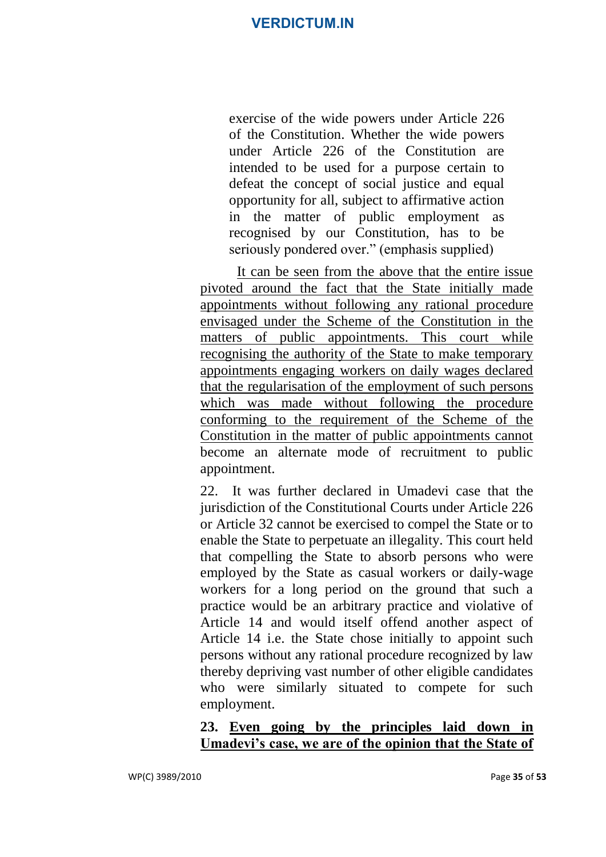exercise of the wide powers under Article 226 of the Constitution. Whether the wide powers under Article 226 of the Constitution are intended to be used for a purpose certain to defeat the concept of social justice and equal opportunity for all, subject to affirmative action in the matter of public employment as recognised by our Constitution, has to be seriously pondered over." (emphasis supplied)

It can be seen from the above that the entire issue pivoted around the fact that the State initially made appointments without following any rational procedure envisaged under the Scheme of the Constitution in the matters of public appointments. This court while recognising the authority of the State to make temporary appointments engaging workers on daily wages declared that the regularisation of the employment of such persons which was made without following the procedure conforming to the requirement of the Scheme of the Constitution in the matter of public appointments cannot become an alternate mode of recruitment to public appointment.

22. It was further declared in Umadevi case that the jurisdiction of the Constitutional Courts under Article 226 or Article 32 cannot be exercised to compel the State or to enable the State to perpetuate an illegality. This court held that compelling the State to absorb persons who were employed by the State as casual workers or daily-wage workers for a long period on the ground that such a practice would be an arbitrary practice and violative of Article 14 and would itself offend another aspect of Article 14 i.e. the State chose initially to appoint such persons without any rational procedure recognized by law thereby depriving vast number of other eligible candidates who were similarly situated to compete for such employment.

## **23. Even going by the principles laid down in Umadevi's case, we are of the opinion that the State of**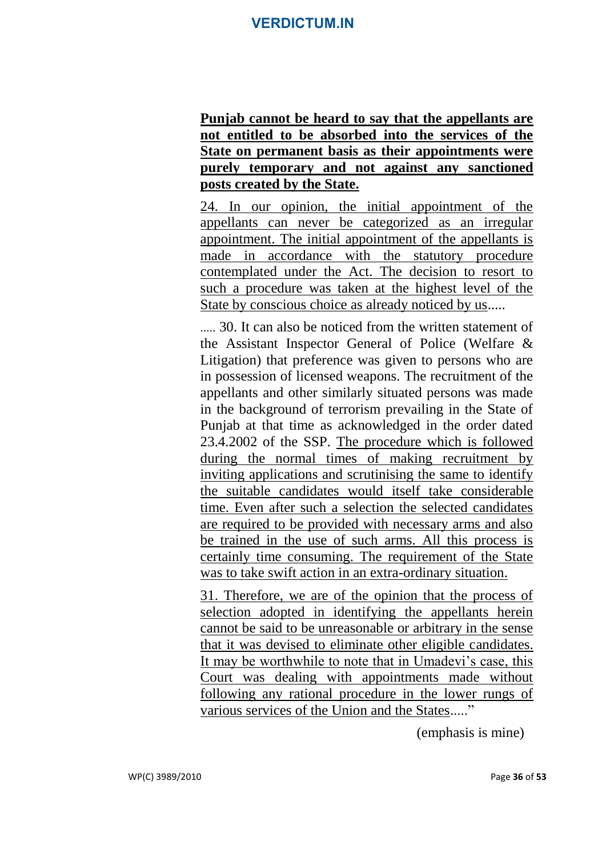**Punjab cannot be heard to say that the appellants are not entitled to be absorbed into the services of the State on permanent basis as their appointments were purely temporary and not against any sanctioned posts created by the State.**

24. In our opinion, the initial appointment of the appellants can never be categorized as an irregular appointment. The initial appointment of the appellants is made in accordance with the statutory procedure contemplated under the Act. The decision to resort to such a procedure was taken at the highest level of the State by conscious choice as already noticed by us.....

..... 30. It can also be noticed from the written statement of the Assistant Inspector General of Police (Welfare & Litigation) that preference was given to persons who are in possession of licensed weapons. The recruitment of the appellants and other similarly situated persons was made in the background of terrorism prevailing in the State of Punjab at that time as acknowledged in the order dated 23.4.2002 of the SSP. The procedure which is followed during the normal times of making recruitment by inviting applications and scrutinising the same to identify the suitable candidates would itself take considerable time. Even after such a selection the selected candidates are required to be provided with necessary arms and also be trained in the use of such arms. All this process is certainly time consuming. The requirement of the State was to take swift action in an extra-ordinary situation.

31. Therefore, we are of the opinion that the process of selection adopted in identifying the appellants herein cannot be said to be unreasonable or arbitrary in the sense that it was devised to eliminate other eligible candidates. It may be worthwhile to note that in Umadevi's case, this Court was dealing with appointments made without following any rational procedure in the lower rungs of various services of the Union and the States....."

(emphasis is mine)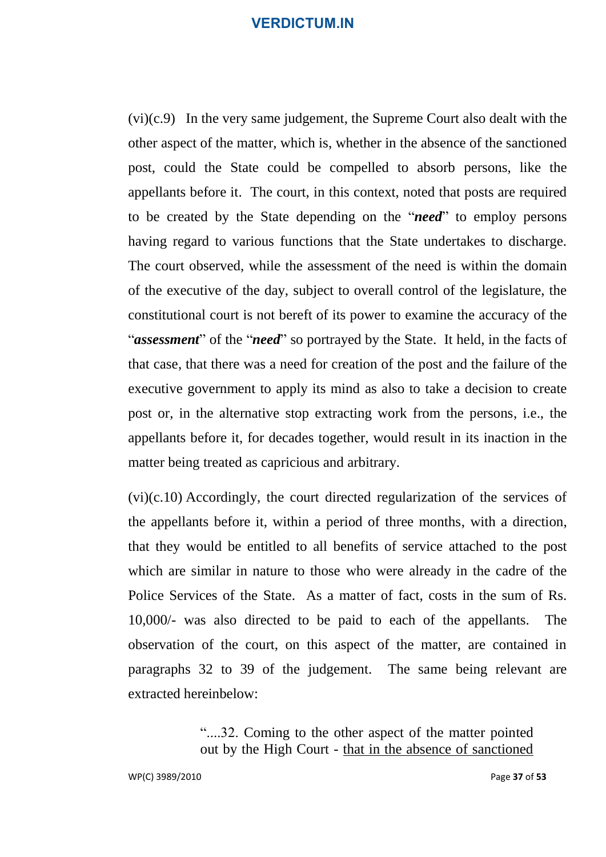(vi)(c.9) In the very same judgement, the Supreme Court also dealt with the other aspect of the matter, which is, whether in the absence of the sanctioned post, could the State could be compelled to absorb persons, like the appellants before it. The court, in this context, noted that posts are required to be created by the State depending on the "*need*" to employ persons having regard to various functions that the State undertakes to discharge. The court observed, while the assessment of the need is within the domain of the executive of the day, subject to overall control of the legislature, the constitutional court is not bereft of its power to examine the accuracy of the "*assessment*" of the "*need*" so portrayed by the State. It held, in the facts of that case, that there was a need for creation of the post and the failure of the executive government to apply its mind as also to take a decision to create post or, in the alternative stop extracting work from the persons, i.e., the appellants before it, for decades together, would result in its inaction in the matter being treated as capricious and arbitrary.

(vi)(c.10) Accordingly, the court directed regularization of the services of the appellants before it, within a period of three months, with a direction, that they would be entitled to all benefits of service attached to the post which are similar in nature to those who were already in the cadre of the Police Services of the State. As a matter of fact, costs in the sum of Rs. 10,000/- was also directed to be paid to each of the appellants. The observation of the court, on this aspect of the matter, are contained in paragraphs 32 to 39 of the judgement. The same being relevant are extracted hereinbelow:

> "....32. Coming to the other aspect of the matter pointed out by the High Court - that in the absence of sanctioned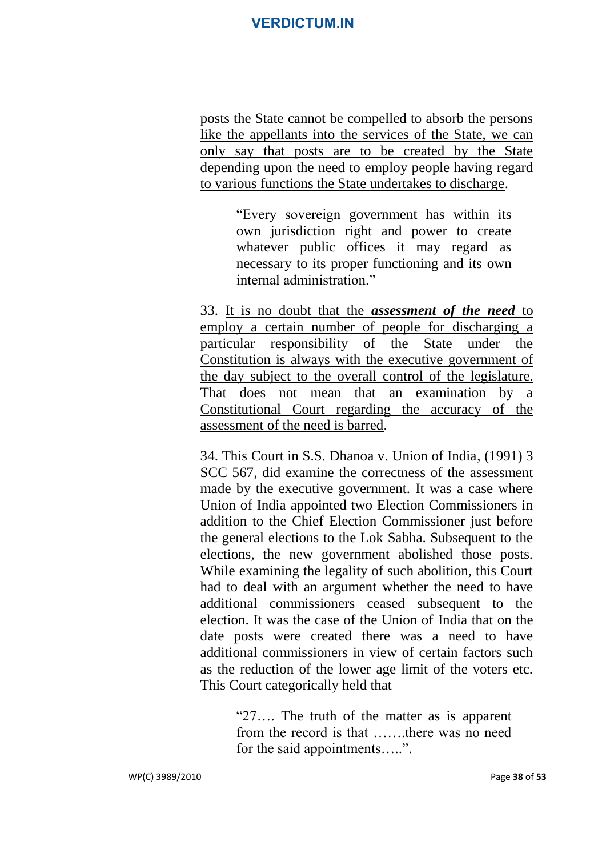posts the State cannot be compelled to absorb the persons like the appellants into the services of the State, we can only say that posts are to be created by the State depending upon the need to employ people having regard to various functions the State undertakes to discharge.

> "Every sovereign government has within its own jurisdiction right and power to create whatever public offices it may regard as necessary to its proper functioning and its own internal administration."

33. It is no doubt that the *assessment of the need* to employ a certain number of people for discharging a particular responsibility of the State under the Constitution is always with the executive government of the day subject to the overall control of the legislature. That does not mean that an examination by a Constitutional Court regarding the accuracy of the assessment of the need is barred.

34. This Court in S.S. Dhanoa v. Union of India, (1991) 3 SCC 567, did examine the correctness of the assessment made by the executive government. It was a case where Union of India appointed two Election Commissioners in addition to the Chief Election Commissioner just before the general elections to the Lok Sabha. Subsequent to the elections, the new government abolished those posts. While examining the legality of such abolition, this Court had to deal with an argument whether the need to have additional commissioners ceased subsequent to the election. It was the case of the Union of India that on the date posts were created there was a need to have additional commissioners in view of certain factors such as the reduction of the lower age limit of the voters etc. This Court categorically held that

> "27…. The truth of the matter as is apparent from the record is that …….there was no need for the said appointments.....".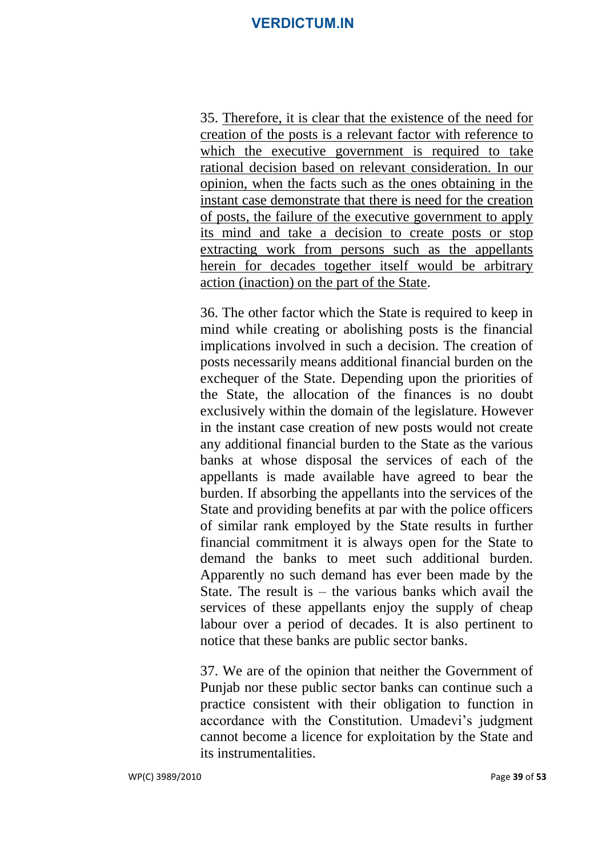35. Therefore, it is clear that the existence of the need for creation of the posts is a relevant factor with reference to which the executive government is required to take rational decision based on relevant consideration. In our opinion, when the facts such as the ones obtaining in the instant case demonstrate that there is need for the creation of posts, the failure of the executive government to apply its mind and take a decision to create posts or stop extracting work from persons such as the appellants herein for decades together itself would be arbitrary action (inaction) on the part of the State.

36. The other factor which the State is required to keep in mind while creating or abolishing posts is the financial implications involved in such a decision. The creation of posts necessarily means additional financial burden on the exchequer of the State. Depending upon the priorities of the State, the allocation of the finances is no doubt exclusively within the domain of the legislature. However in the instant case creation of new posts would not create any additional financial burden to the State as the various banks at whose disposal the services of each of the appellants is made available have agreed to bear the burden. If absorbing the appellants into the services of the State and providing benefits at par with the police officers of similar rank employed by the State results in further financial commitment it is always open for the State to demand the banks to meet such additional burden. Apparently no such demand has ever been made by the State. The result is – the various banks which avail the services of these appellants enjoy the supply of cheap labour over a period of decades. It is also pertinent to notice that these banks are public sector banks.

37. We are of the opinion that neither the Government of Punjab nor these public sector banks can continue such a practice consistent with their obligation to function in accordance with the Constitution. Umadevi's judgment cannot become a licence for exploitation by the State and its instrumentalities.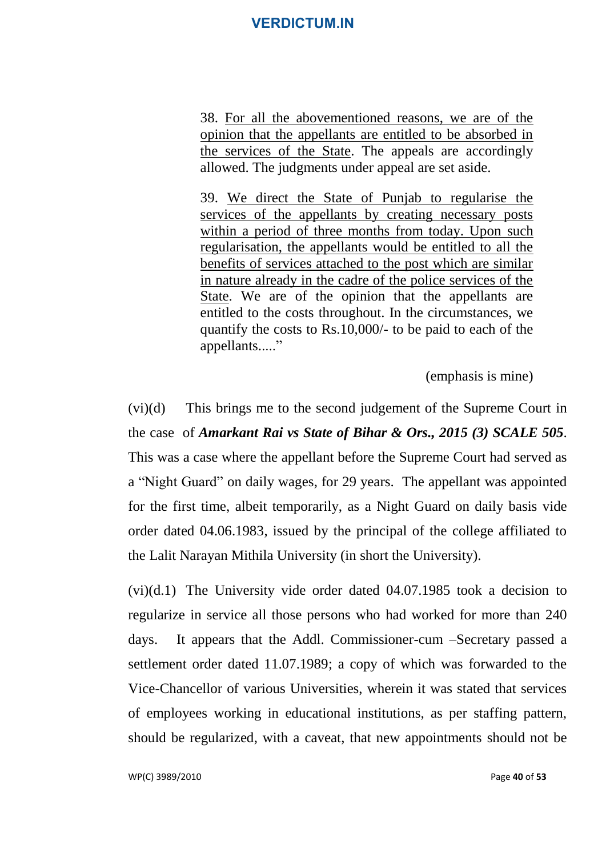38. For all the abovementioned reasons, we are of the opinion that the appellants are entitled to be absorbed in the services of the State. The appeals are accordingly allowed. The judgments under appeal are set aside.

39. We direct the State of Punjab to regularise the services of the appellants by creating necessary posts within a period of three months from today. Upon such regularisation, the appellants would be entitled to all the benefits of services attached to the post which are similar in nature already in the cadre of the police services of the State. We are of the opinion that the appellants are entitled to the costs throughout. In the circumstances, we quantify the costs to Rs.10,000/- to be paid to each of the appellants....."

(emphasis is mine)

(vi)(d) This brings me to the second judgement of the Supreme Court in the case of *Amarkant Rai vs State of Bihar & Ors., 2015 (3) SCALE 505*. This was a case where the appellant before the Supreme Court had served as a "Night Guard" on daily wages, for 29 years. The appellant was appointed for the first time, albeit temporarily, as a Night Guard on daily basis vide order dated 04.06.1983, issued by the principal of the college affiliated to the Lalit Narayan Mithila University (in short the University).

(vi)(d.1) The University vide order dated 04.07.1985 took a decision to regularize in service all those persons who had worked for more than 240 days. It appears that the Addl. Commissioner-cum –Secretary passed a settlement order dated 11.07.1989; a copy of which was forwarded to the Vice-Chancellor of various Universities, wherein it was stated that services of employees working in educational institutions, as per staffing pattern, should be regularized, with a caveat, that new appointments should not be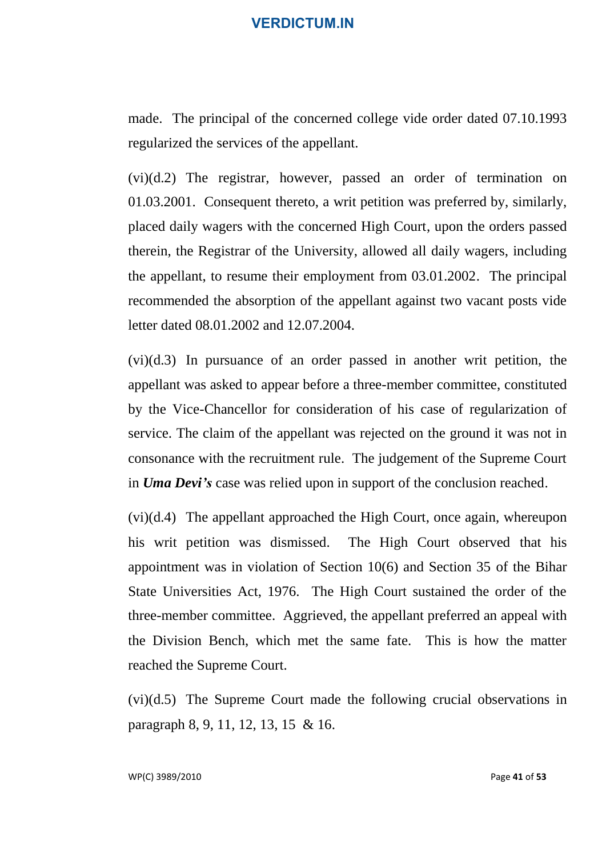made. The principal of the concerned college vide order dated 07.10.1993 regularized the services of the appellant.

(vi)(d.2) The registrar, however, passed an order of termination on 01.03.2001. Consequent thereto, a writ petition was preferred by, similarly, placed daily wagers with the concerned High Court, upon the orders passed therein, the Registrar of the University, allowed all daily wagers, including the appellant, to resume their employment from 03.01.2002. The principal recommended the absorption of the appellant against two vacant posts vide letter dated 08.01.2002 and 12.07.2004.

(vi)(d.3) In pursuance of an order passed in another writ petition, the appellant was asked to appear before a three-member committee, constituted by the Vice-Chancellor for consideration of his case of regularization of service. The claim of the appellant was rejected on the ground it was not in consonance with the recruitment rule. The judgement of the Supreme Court in *Uma Devi's* case was relied upon in support of the conclusion reached.

 $(vi)(d.4)$  The appellant approached the High Court, once again, whereupon his writ petition was dismissed. The High Court observed that his appointment was in violation of Section 10(6) and Section 35 of the Bihar State Universities Act, 1976. The High Court sustained the order of the three-member committee. Aggrieved, the appellant preferred an appeal with the Division Bench, which met the same fate. This is how the matter reached the Supreme Court.

(vi)(d.5) The Supreme Court made the following crucial observations in paragraph 8, 9, 11, 12, 13, 15 & 16.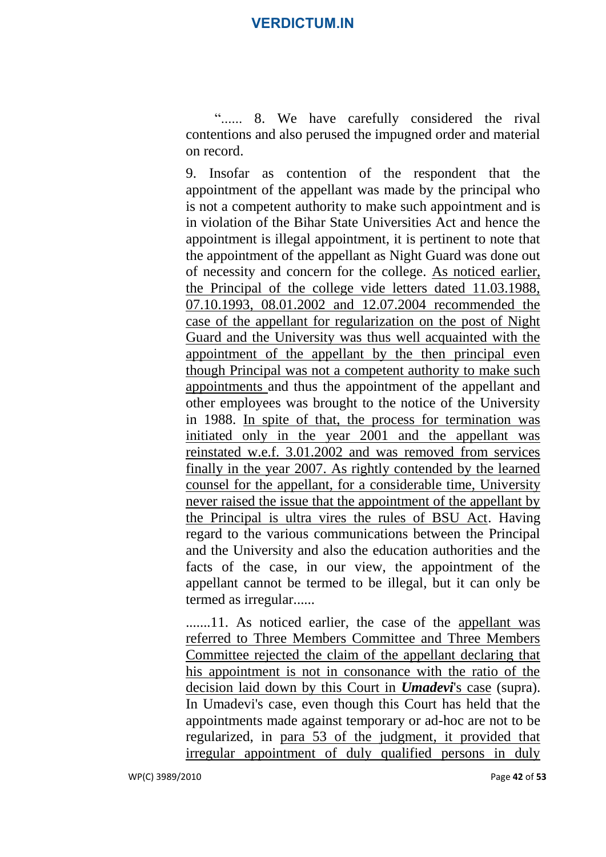"...... 8. We have carefully considered the rival contentions and also perused the impugned order and material on record.

9. Insofar as contention of the respondent that the appointment of the appellant was made by the principal who is not a competent authority to make such appointment and is in violation of the Bihar State Universities Act and hence the appointment is illegal appointment, it is pertinent to note that the appointment of the appellant as Night Guard was done out of necessity and concern for the college. As noticed earlier, the Principal of the college vide letters dated 11.03.1988, 07.10.1993, 08.01.2002 and 12.07.2004 recommended the case of the appellant for regularization on the post of Night Guard and the University was thus well acquainted with the appointment of the appellant by the then principal even though Principal was not a competent authority to make such appointments and thus the appointment of the appellant and other employees was brought to the notice of the University in 1988. In spite of that, the process for termination was initiated only in the year 2001 and the appellant was reinstated w.e.f. 3.01.2002 and was removed from services finally in the year 2007. As rightly contended by the learned counsel for the appellant, for a considerable time, University never raised the issue that the appointment of the appellant by the Principal is ultra vires the rules of BSU Act. Having regard to the various communications between the Principal and the University and also the education authorities and the facts of the case, in our view, the appointment of the appellant cannot be termed to be illegal, but it can only be termed as irregular......

.......11. As noticed earlier, the case of the appellant was referred to Three Members Committee and Three Members Committee rejected the claim of the appellant declaring that his appointment is not in consonance with the ratio of the decision laid down by this Court in *Umadevi*'s case (supra). In Umadevi's case, even though this Court has held that the appointments made against temporary or ad-hoc are not to be regularized, in para 53 of the judgment, it provided that irregular appointment of duly qualified persons in duly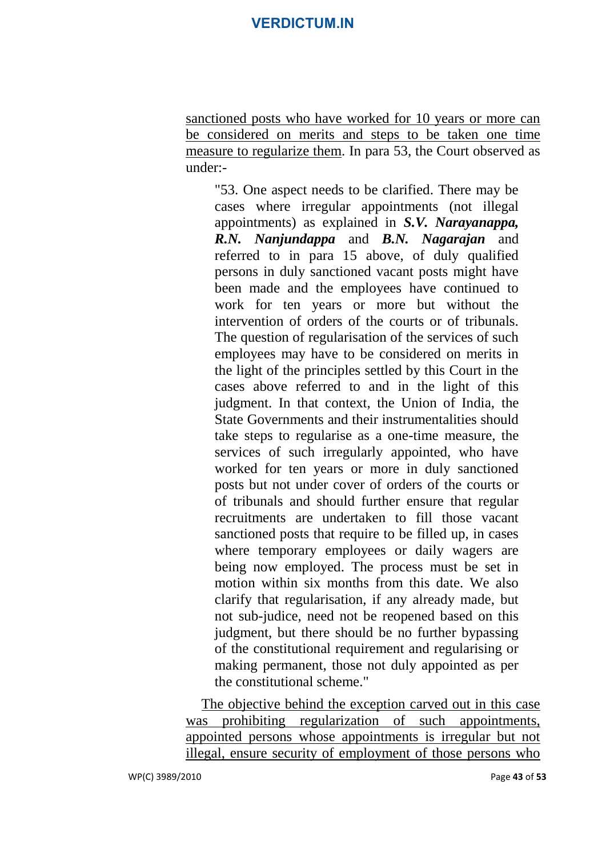sanctioned posts who have worked for 10 years or more can be considered on merits and steps to be taken one time measure to regularize them. In para 53, the Court observed as under:-

"53. One aspect needs to be clarified. There may be cases where irregular appointments (not illegal appointments) as explained in *S.V. Narayanappa, R.N. Nanjundappa* and *B.N. Nagarajan* and referred to in para 15 above, of duly qualified persons in duly sanctioned vacant posts might have been made and the employees have continued to work for ten years or more but without the intervention of orders of the courts or of tribunals. The question of regularisation of the services of such employees may have to be considered on merits in the light of the principles settled by this Court in the cases above referred to and in the light of this judgment. In that context, the Union of India, the State Governments and their instrumentalities should take steps to regularise as a one-time measure, the services of such irregularly appointed, who have worked for ten years or more in duly sanctioned posts but not under cover of orders of the courts or of tribunals and should further ensure that regular recruitments are undertaken to fill those vacant sanctioned posts that require to be filled up, in cases where temporary employees or daily wagers are being now employed. The process must be set in motion within six months from this date. We also clarify that regularisation, if any already made, but not sub-judice, need not be reopened based on this judgment, but there should be no further bypassing of the constitutional requirement and regularising or making permanent, those not duly appointed as per the constitutional scheme."

The objective behind the exception carved out in this case was prohibiting regularization of such appointments, appointed persons whose appointments is irregular but not illegal, ensure security of employment of those persons who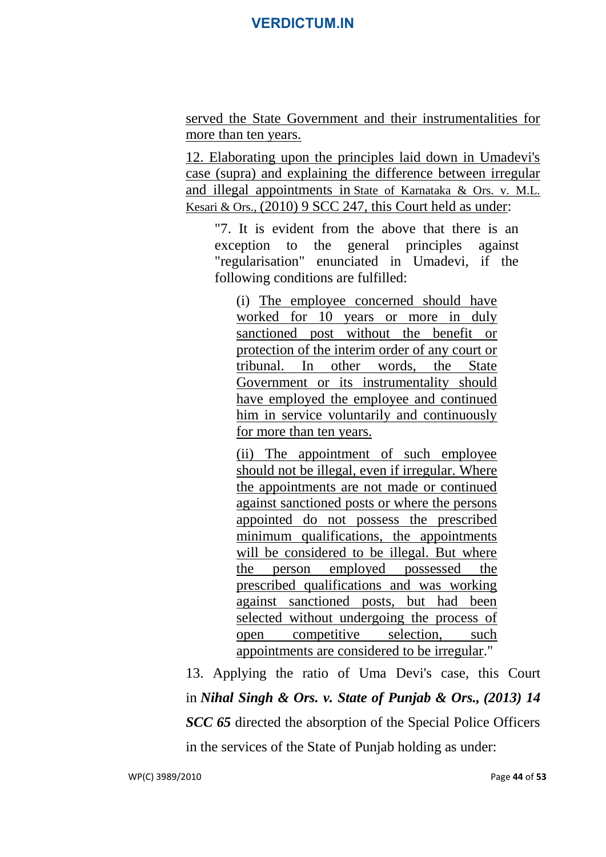served the State Government and their instrumentalities for more than ten years.

12. Elaborating upon the principles laid down in Umadevi's case (supra) and explaining the difference between irregular and illegal appointments in [State of Karnataka & Ors. v. M.L.](http://indiankanoon.org/doc/1656049/)  [Kesari & Ors.,](http://indiankanoon.org/doc/1656049/) (2010) 9 SCC 247, this Court held as under:

"7. It is evident from the above that there is an exception to the general principles against "regularisation" enunciated in Umadevi, if the following conditions are fulfilled:

(i) The employee concerned should have worked for 10 years or more in duly sanctioned post without the benefit or protection of the interim order of any court or tribunal. In other words, the State Government or its instrumentality should have employed the employee and continued him in service voluntarily and continuously for more than ten years.

(ii) The appointment of such employee should not be illegal, even if irregular. Where the appointments are not made or continued against sanctioned posts or where the persons appointed do not possess the prescribed minimum qualifications, the appointments will be considered to be illegal. But where the person employed possessed the prescribed qualifications and was working against sanctioned posts, but had been selected without undergoing the process of open competitive selection, such appointments are considered to be irregular."

13. Applying the ratio of Uma Devi's case, this Court in *[Nihal Singh & Ors. v. State of Punjab & Ors.,](http://indiankanoon.org/doc/726789/) (2013) 14 SCC 65* directed the absorption of the Special Police Officers in the services of the State of Punjab holding as under: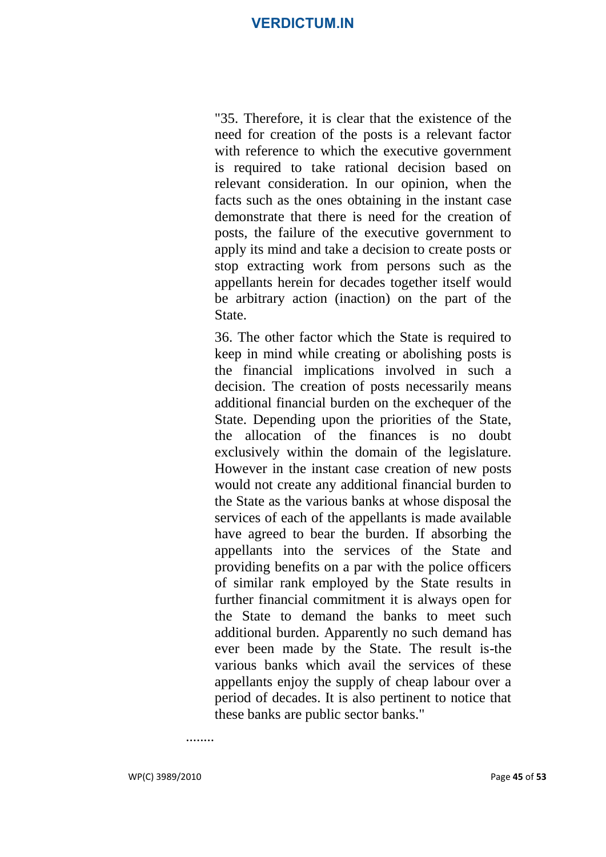"35. Therefore, it is clear that the existence of the need for creation of the posts is a relevant factor with reference to which the executive government is required to take rational decision based on relevant consideration. In our opinion, when the facts such as the ones obtaining in the instant case demonstrate that there is need for the creation of posts, the failure of the executive government to apply its mind and take a decision to create posts or stop extracting work from persons such as the appellants herein for decades together itself would be arbitrary action (inaction) on the part of the State.

36. The other factor which the State is required to keep in mind while creating or abolishing posts is the financial implications involved in such a decision. The creation of posts necessarily means additional financial burden on the exchequer of the State. Depending upon the priorities of the State, the allocation of the finances is no doubt exclusively within the domain of the legislature. However in the instant case creation of new posts would not create any additional financial burden to the State as the various banks at whose disposal the services of each of the appellants is made available have agreed to bear the burden. If absorbing the appellants into the services of the State and providing benefits on a par with the police officers of similar rank employed by the State results in further financial commitment it is always open for the State to demand the banks to meet such additional burden. Apparently no such demand has ever been made by the State. The result is-the various banks which avail the services of these appellants enjoy the supply of cheap labour over a period of decades. It is also pertinent to notice that these banks are public sector banks."

........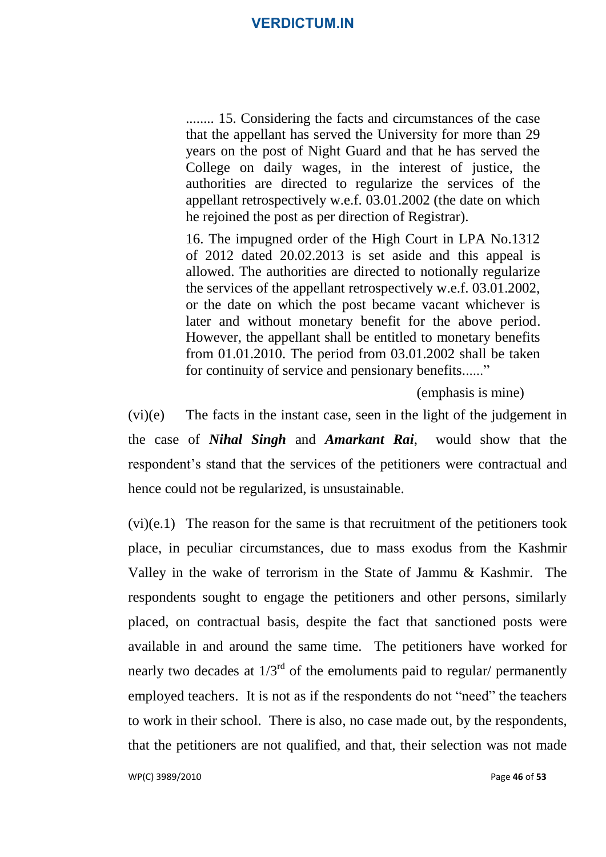........ 15. Considering the facts and circumstances of the case that the appellant has served the University for more than 29 years on the post of Night Guard and that he has served the College on daily wages, in the interest of justice, the authorities are directed to regularize the services of the appellant retrospectively w.e.f. 03.01.2002 (the date on which he rejoined the post as per direction of Registrar).

16. The impugned order of the High Court in LPA No.1312 of 2012 dated 20.02.2013 is set aside and this appeal is allowed. The authorities are directed to notionally regularize the services of the appellant retrospectively w.e.f. 03.01.2002, or the date on which the post became vacant whichever is later and without monetary benefit for the above period. However, the appellant shall be entitled to monetary benefits from 01.01.2010. The period from 03.01.2002 shall be taken for continuity of service and pensionary benefits......"

(emphasis is mine)

(vi)(e) The facts in the instant case, seen in the light of the judgement in the case of *Nihal Singh* and *Amarkant Rai*, would show that the respondent's stand that the services of the petitioners were contractual and hence could not be regularized, is unsustainable.

(vi)(e.1) The reason for the same is that recruitment of the petitioners took place, in peculiar circumstances, due to mass exodus from the Kashmir Valley in the wake of terrorism in the State of Jammu & Kashmir. The respondents sought to engage the petitioners and other persons, similarly placed, on contractual basis, despite the fact that sanctioned posts were available in and around the same time. The petitioners have worked for nearly two decades at  $1/3^{rd}$  of the emoluments paid to regular/ permanently employed teachers. It is not as if the respondents do not "need" the teachers to work in their school. There is also, no case made out, by the respondents, that the petitioners are not qualified, and that, their selection was not made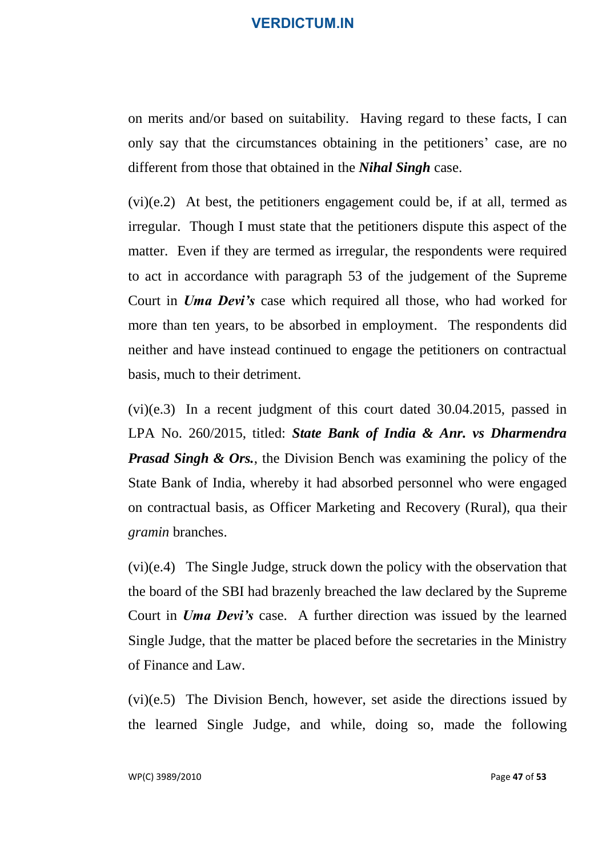on merits and/or based on suitability. Having regard to these facts, I can only say that the circumstances obtaining in the petitioners' case, are no different from those that obtained in the *Nihal Singh* case.

(vi)(e.2) At best, the petitioners engagement could be, if at all, termed as irregular. Though I must state that the petitioners dispute this aspect of the matter. Even if they are termed as irregular, the respondents were required to act in accordance with paragraph 53 of the judgement of the Supreme Court in *Uma Devi's* case which required all those, who had worked for more than ten years, to be absorbed in employment. The respondents did neither and have instead continued to engage the petitioners on contractual basis, much to their detriment.

(vi)(e.3) In a recent judgment of this court dated 30.04.2015, passed in LPA No. 260/2015, titled: *State Bank of India & Anr. vs Dharmendra Prasad Singh & Ors.*, the Division Bench was examining the policy of the State Bank of India, whereby it had absorbed personnel who were engaged on contractual basis, as Officer Marketing and Recovery (Rural), qua their *gramin* branches.

(vi)(e.4) The Single Judge, struck down the policy with the observation that the board of the SBI had brazenly breached the law declared by the Supreme Court in *Uma Devi's* case. A further direction was issued by the learned Single Judge, that the matter be placed before the secretaries in the Ministry of Finance and Law.

(vi)(e.5) The Division Bench, however, set aside the directions issued by the learned Single Judge, and while, doing so, made the following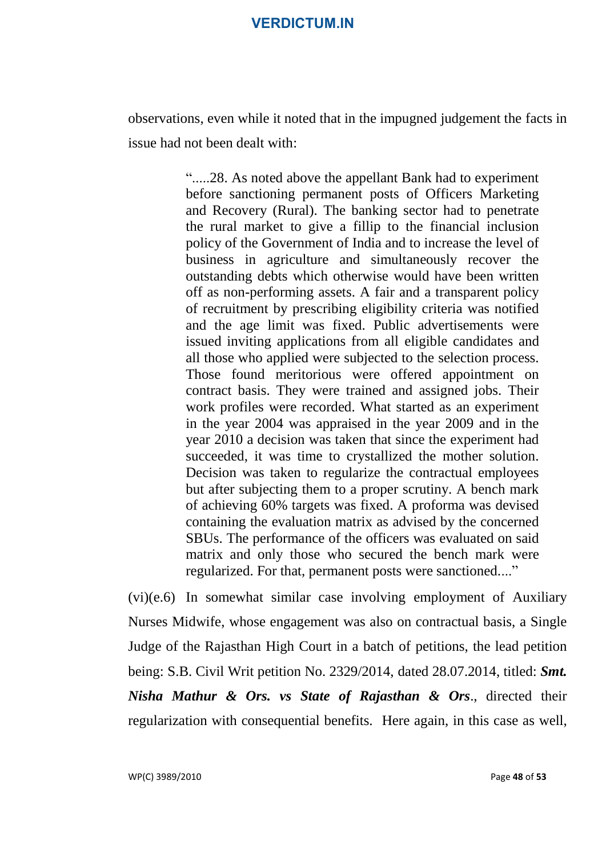observations, even while it noted that in the impugned judgement the facts in issue had not been dealt with:

> ".....28. As noted above the appellant Bank had to experiment before sanctioning permanent posts of Officers Marketing and Recovery (Rural). The banking sector had to penetrate the rural market to give a fillip to the financial inclusion policy of the Government of India and to increase the level of business in agriculture and simultaneously recover the outstanding debts which otherwise would have been written off as non-performing assets. A fair and a transparent policy of recruitment by prescribing eligibility criteria was notified and the age limit was fixed. Public advertisements were issued inviting applications from all eligible candidates and all those who applied were subjected to the selection process. Those found meritorious were offered appointment on contract basis. They were trained and assigned jobs. Their work profiles were recorded. What started as an experiment in the year 2004 was appraised in the year 2009 and in the year 2010 a decision was taken that since the experiment had succeeded, it was time to crystallized the mother solution. Decision was taken to regularize the contractual employees but after subjecting them to a proper scrutiny. A bench mark of achieving 60% targets was fixed. A proforma was devised containing the evaluation matrix as advised by the concerned SBUs. The performance of the officers was evaluated on said matrix and only those who secured the bench mark were regularized. For that, permanent posts were sanctioned...."

(vi)(e.6) In somewhat similar case involving employment of Auxiliary Nurses Midwife, whose engagement was also on contractual basis, a Single Judge of the Rajasthan High Court in a batch of petitions, the lead petition being: S.B. Civil Writ petition No. 2329/2014, dated 28.07.2014, titled: *Smt. Nisha Mathur & Ors. vs State of Rajasthan & Ors*., directed their regularization with consequential benefits. Here again, in this case as well,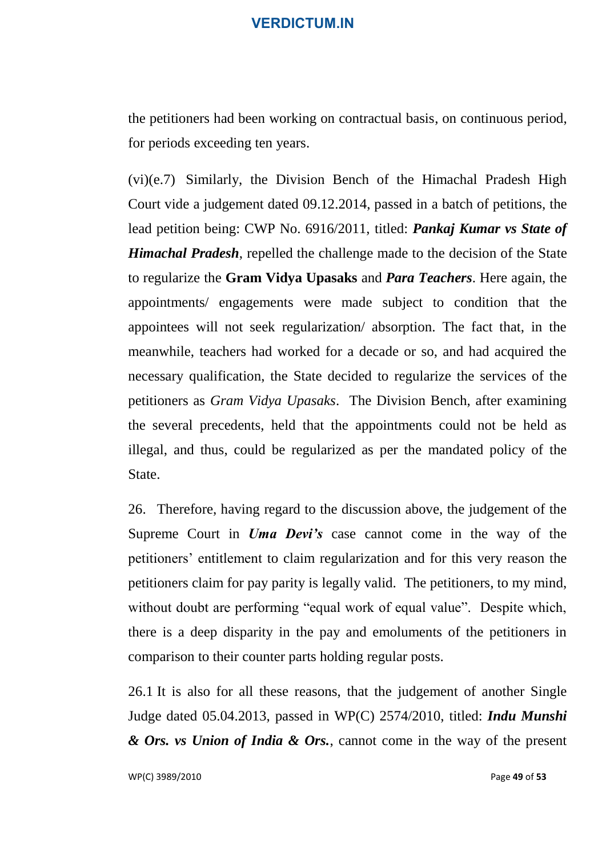the petitioners had been working on contractual basis, on continuous period, for periods exceeding ten years.

(vi)(e.7) Similarly, the Division Bench of the Himachal Pradesh High Court vide a judgement dated 09.12.2014, passed in a batch of petitions, the lead petition being: CWP No. 6916/2011, titled: *Pankaj Kumar vs State of Himachal Pradesh*, repelled the challenge made to the decision of the State to regularize the **Gram Vidya Upasaks** and *Para Teachers*. Here again, the appointments/ engagements were made subject to condition that the appointees will not seek regularization/ absorption. The fact that, in the meanwhile, teachers had worked for a decade or so, and had acquired the necessary qualification, the State decided to regularize the services of the petitioners as *Gram Vidya Upasaks*. The Division Bench, after examining the several precedents, held that the appointments could not be held as illegal, and thus, could be regularized as per the mandated policy of the State.

26. Therefore, having regard to the discussion above, the judgement of the Supreme Court in *Uma Devi's* case cannot come in the way of the petitioners' entitlement to claim regularization and for this very reason the petitioners claim for pay parity is legally valid. The petitioners, to my mind, without doubt are performing "equal work of equal value". Despite which, there is a deep disparity in the pay and emoluments of the petitioners in comparison to their counter parts holding regular posts.

26.1 It is also for all these reasons, that the judgement of another Single Judge dated 05.04.2013, passed in WP(C) 2574/2010, titled: *Indu Munshi & Ors. vs Union of India & Ors.*, cannot come in the way of the present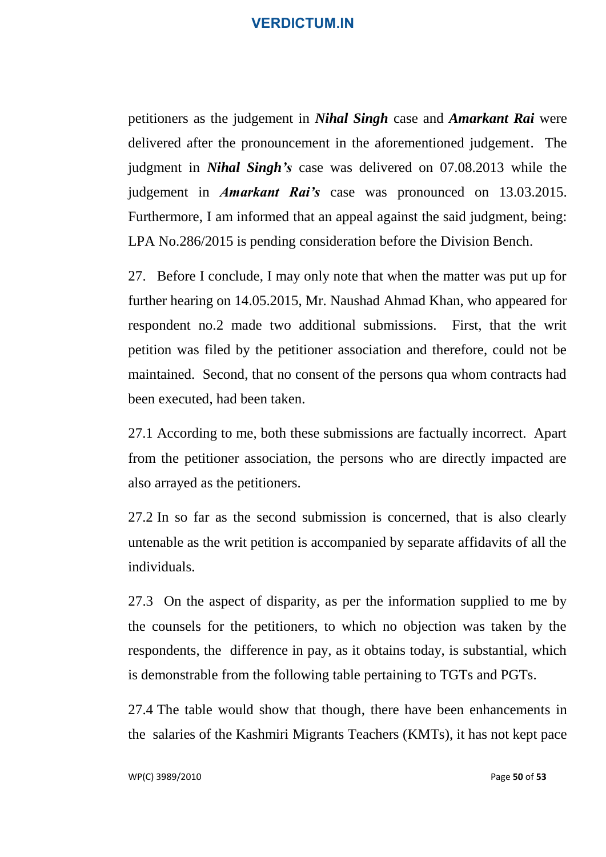petitioners as the judgement in *Nihal Singh* case and *Amarkant Rai* were delivered after the pronouncement in the aforementioned judgement. The judgment in *Nihal Singh's* case was delivered on 07.08.2013 while the judgement in *Amarkant Rai's* case was pronounced on 13.03.2015. Furthermore, I am informed that an appeal against the said judgment, being: LPA No.286/2015 is pending consideration before the Division Bench.

27. Before I conclude, I may only note that when the matter was put up for further hearing on 14.05.2015, Mr. Naushad Ahmad Khan, who appeared for respondent no.2 made two additional submissions. First, that the writ petition was filed by the petitioner association and therefore, could not be maintained. Second, that no consent of the persons qua whom contracts had been executed, had been taken.

27.1 According to me, both these submissions are factually incorrect. Apart from the petitioner association, the persons who are directly impacted are also arrayed as the petitioners.

27.2 In so far as the second submission is concerned, that is also clearly untenable as the writ petition is accompanied by separate affidavits of all the individuals.

27.3 On the aspect of disparity, as per the information supplied to me by the counsels for the petitioners, to which no objection was taken by the respondents, the difference in pay, as it obtains today, is substantial, which is demonstrable from the following table pertaining to TGTs and PGTs.

27.4 The table would show that though, there have been enhancements in the salaries of the Kashmiri Migrants Teachers (KMTs), it has not kept pace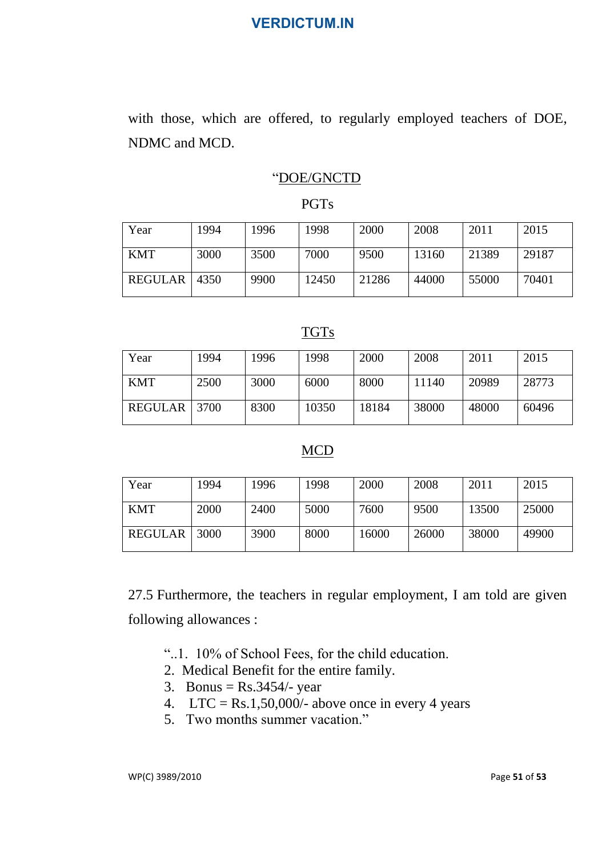with those, which are offered, to regularly employed teachers of DOE, NDMC and MCD.

### "DOE/GNCTD

#### PGTs

| Year       | 1994 | 1996 | 1998  | 2000  | 2008  | 2011  | 2015  |
|------------|------|------|-------|-------|-------|-------|-------|
| <b>KMT</b> | 3000 | 3500 | 7000  | 9500  | 13160 | 21389 | 29187 |
| REGULAR    | 4350 | 9900 | 12450 | 21286 | 44000 | 55000 | 70401 |

### TGTs

| Year       | 1994 | 1996 | 1998  | 2000  | 2008  | 2011  | 2015  |
|------------|------|------|-------|-------|-------|-------|-------|
| <b>KMT</b> | 2500 | 3000 | 6000  | 8000  | 11140 | 20989 | 28773 |
| REGULAR    | 3700 | 8300 | 10350 | 18184 | 38000 | 48000 | 60496 |

#### MCD

| Year       | 1994 | 1996 | 1998 | 2000  | 2008  | 2011  | 2015  |
|------------|------|------|------|-------|-------|-------|-------|
| <b>KMT</b> | 2000 | 2400 | 5000 | 7600  | 9500  | 13500 | 25000 |
| REGULAR    | 3000 | 3900 | 8000 | 16000 | 26000 | 38000 | 49900 |

27.5 Furthermore, the teachers in regular employment, I am told are given following allowances :

- "..1. 10% of School Fees, for the child education.
- 2. Medical Benefit for the entire family.
- 3. Bonus =  $Rs.3454/-$  year
- 4. LTC = Rs.1,50,000/- above once in every 4 years
- 5. Two months summer vacation."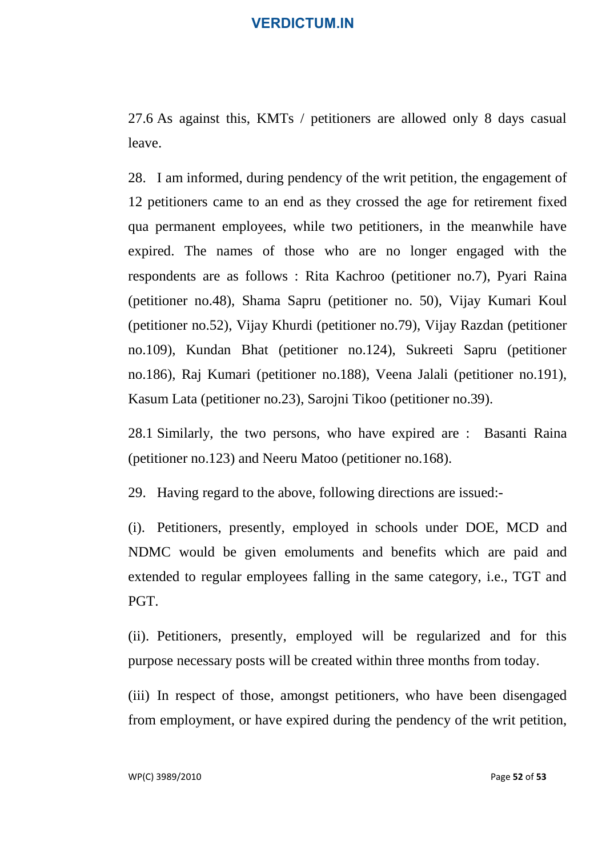27.6 As against this, KMTs / petitioners are allowed only 8 days casual leave.

28. I am informed, during pendency of the writ petition, the engagement of 12 petitioners came to an end as they crossed the age for retirement fixed qua permanent employees, while two petitioners, in the meanwhile have expired. The names of those who are no longer engaged with the respondents are as follows : Rita Kachroo (petitioner no.7), Pyari Raina (petitioner no.48), Shama Sapru (petitioner no. 50), Vijay Kumari Koul (petitioner no.52), Vijay Khurdi (petitioner no.79), Vijay Razdan (petitioner no.109), Kundan Bhat (petitioner no.124), Sukreeti Sapru (petitioner no.186), Raj Kumari (petitioner no.188), Veena Jalali (petitioner no.191), Kasum Lata (petitioner no.23), Sarojni Tikoo (petitioner no.39).

28.1 Similarly, the two persons, who have expired are : Basanti Raina (petitioner no.123) and Neeru Matoo (petitioner no.168).

29. Having regard to the above, following directions are issued:-

(i). Petitioners, presently, employed in schools under DOE, MCD and NDMC would be given emoluments and benefits which are paid and extended to regular employees falling in the same category, i.e., TGT and PGT.

(ii). Petitioners, presently, employed will be regularized and for this purpose necessary posts will be created within three months from today.

(iii) In respect of those, amongst petitioners, who have been disengaged from employment, or have expired during the pendency of the writ petition,